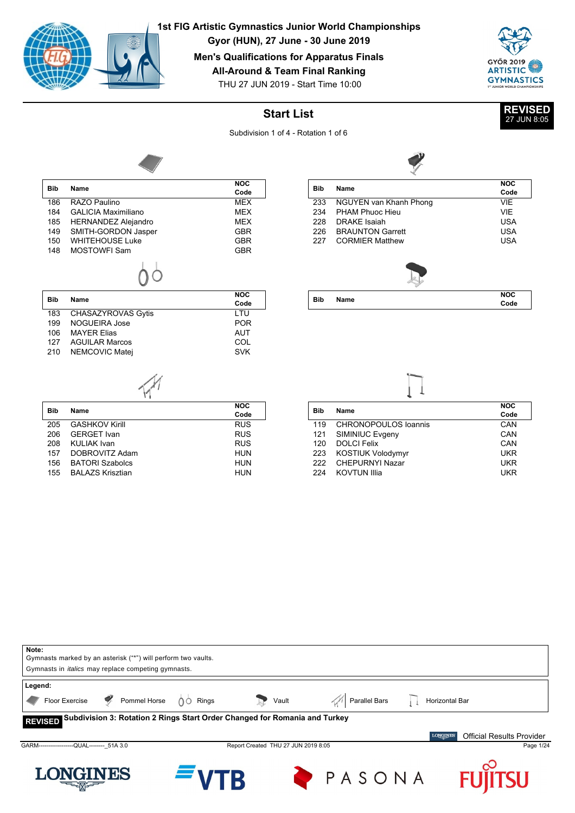

**Gyor (HUN), 27 June - 30 June 2019**

#### **Men's Qualifications for Apparatus Finals**

**All-Around & Team Final Ranking**

THU 27 JUN 2019 - Start Time 10:00



**Code**

### **Start List**







|            |                         | <b>NOC</b> |
|------------|-------------------------|------------|
| Bib        | Name                    | Code       |
| 233        | NGUYEN van Khanh Phong  | <b>VIE</b> |
| 234        | PHAM Phuoc Hieu         | <b>VIE</b> |
| 228        | DRAKE Isaiah            | <b>USA</b> |
| 226        | <b>BRAUNTON Garrett</b> | <b>USA</b> |
| 227        | <b>CORMIER Matthew</b>  | <b>USA</b> |
|            |                         |            |
| <b>Bib</b> | Name                    | <b>NOC</b> |
|            |                         | Code       |

| <b>Bib</b> | Name                     | <b>NOC</b> |  |  |  |
|------------|--------------------------|------------|--|--|--|
|            |                          | Code       |  |  |  |
| 119        | CHRONOPOULOS Ioannis     | CAN        |  |  |  |
| 121        | SIMINIUC Evgeny          | CAN        |  |  |  |
| 120        | <b>DOLCI Felix</b>       | CAN        |  |  |  |
| 223        | <b>KOSTIUK Volodymyr</b> | UKR        |  |  |  |

222 CHEPURNYI Nazar UKR

KOSTIUK Volodymyr

224 KOVTUN Illia

|            |                          | <b>NOC</b> |
|------------|--------------------------|------------|
| <b>Bib</b> | Name                     | Code       |
| 205        | <b>GASHKOV Kirill</b>    | <b>RUS</b> |
| 206        | <b>GERGET</b> Ivan       | <b>RUS</b> |
| 208        | <b>KULIAK Ivan</b>       | <b>RUS</b> |
| 157        | DOBROVITZ Adam           | <b>HUN</b> |
| 156        | <b>BATORI Szabolcs</b>   | <b>HUN</b> |
| 155        | <b>BAI AZS Krisztian</b> | <b>HUN</b> |
|            |                          |            |

| Note:<br>Gymnasts marked by an asterisk ("*") will perform two vaults.                       |      |                                     |               |                                                     |
|----------------------------------------------------------------------------------------------|------|-------------------------------------|---------------|-----------------------------------------------------|
| Gymnasts in <i>italics</i> may replace competing gymnasts.                                   |      |                                     |               |                                                     |
| Legend:                                                                                      |      |                                     |               |                                                     |
| Pommel Horse 00 Rings<br>Floor Exercise                                                      |      | Vault                               | Parallel Bars | Horizontal Bar                                      |
| Subdivision 3: Rotation 2 Rings Start Order Changed for Romania and Turkey<br><b>REVISED</b> |      |                                     |               |                                                     |
|                                                                                              |      |                                     |               | <b>LONGINES</b><br><b>Official Results Provider</b> |
| GARM-------------------QUAL-------- 51A 3.0                                                  |      | Report Created THU 27 JUN 2019 8:05 |               | Page 1/24                                           |
|                                                                                              |      |                                     |               |                                                     |
| <b>LONGINES</b>                                                                              | =VTR |                                     | PASONA        | <b>FUILTSU</b>                                      |
|                                                                                              |      |                                     |               |                                                     |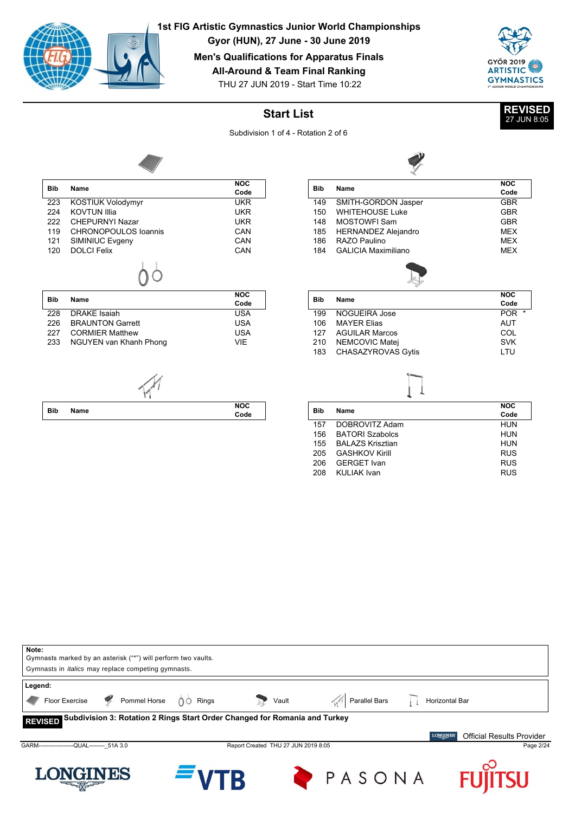

**Gyor (HUN), 27 June - 30 June 2019**

### **Men's Qualifications for Apparatus Finals**

**All-Around & Team Final Ranking**

THU 27 JUN 2019 - Start Time 10:22



## **Start List**



Subdivision 1 of 4 - Rotation 2 of 6

| <b>Bib</b> | Name                     | <b>NOC</b> |
|------------|--------------------------|------------|
|            |                          | Code       |
| 223        | <b>KOSTIUK Volodymyr</b> | UKR        |
| 224        | KOVTUN Illia             | UKR        |
| 222        | <b>CHEPURNYI Nazar</b>   | UKR        |
| 119        | CHRONOPOULOS Ioannis     | CAN        |
| 121        | SIMINIUC Evgeny          | CAN        |
| 120        | <b>DOLCI Felix</b>       | CAN        |
|            |                          |            |
| <b>Bib</b> | Name                     | <b>NOC</b> |
|            |                          | Code       |
| 228        | DRAKE Isaiah             | USA        |
| 226        | <b>BRAUNTON Garrett</b>  | USA        |
| 227        | <b>CORMIER Matthew</b>   | USA        |

|--|

|     |      | <b>NOC</b> |  |
|-----|------|------------|--|
| Bib | Name | Code       |  |
|     |      |            |  |

233 NGUYEN van Khanh Phong VIE

| Bib | Name                       | <b>NOC</b> |
|-----|----------------------------|------------|
|     |                            | Code       |
| 149 | SMITH-GORDON Jasper        | <b>GBR</b> |
| 150 | <b>WHITEHOUSE Luke</b>     | <b>GBR</b> |
| 148 | <b>MOSTOWFI Sam</b>        | <b>GBR</b> |
| 185 | <b>HERNANDEZ Alejandro</b> | MEX        |
| 186 | RAZO Paulino               | <b>MEX</b> |
| 184 | <b>GALICIA Maximiliano</b> | <b>MEX</b> |
|     |                            |            |

|     |                       | NOC                   |  |  |
|-----|-----------------------|-----------------------|--|--|
| Bib | Name                  | Code                  |  |  |
| 199 | NOGUEIRA Jose         | $\star$<br><b>POR</b> |  |  |
| 106 | <b>MAYER Elias</b>    | AUT                   |  |  |
| 127 | <b>AGUILAR Marcos</b> | COL                   |  |  |
| 210 | NEMCOVIC Matej        | <b>SVK</b>            |  |  |
| 183 | CHASAZYROVAS Gytis    | I TU                  |  |  |
|     |                       |                       |  |  |

| NOC<br>Code | <b>Bib</b> | Name                    | <b>NOC</b><br>Code |
|-------------|------------|-------------------------|--------------------|
|             | 157        | DOBROVITZ Adam          | <b>HUN</b>         |
|             | 156        | <b>BATORI Szabolcs</b>  | <b>HUN</b>         |
|             | 155        | <b>BALAZS Krisztian</b> | <b>HUN</b>         |
|             | 205        | <b>GASHKOV Kirill</b>   | <b>RUS</b>         |
|             | 206        | <b>GERGET</b> Ivan      | <b>RUS</b>         |
|             | 208        | KULIAK Ivan             | <b>RUS</b>         |
|             |            |                         |                    |

| Note:<br>Gymnasts marked by an asterisk ("*") will perform two vaults.<br>Gymnasts in <i>italics</i> may replace competing gymnasts. |              |                            |                                     |                 |                 |                                  |
|--------------------------------------------------------------------------------------------------------------------------------------|--------------|----------------------------|-------------------------------------|-----------------|-----------------|----------------------------------|
| Legend:                                                                                                                              |              |                            |                                     |                 |                 |                                  |
| Floor Exercise<br>₩                                                                                                                  | Pommel Horse | $\bigcap$ $\bigcirc$ Rings | Vault                               | M Parallel Bars | Horizontal Bar  |                                  |
| REVISED Subdivision 3: Rotation 2 Rings Start Order Changed for Romania and Turkey                                                   |              |                            |                                     |                 |                 |                                  |
|                                                                                                                                      |              |                            |                                     |                 | <b>LONGINES</b> | <b>Official Results Provider</b> |
| GARM--------------------QUAL-------- 51A 3.0                                                                                         |              |                            | Report Created THU 27 JUN 2019 8:05 |                 |                 | Page 2/24                        |
| <b>LONGINES</b><br>~~ 서와~~                                                                                                           |              |                            |                                     | PASONA          |                 | <b>FUJITSU</b>                   |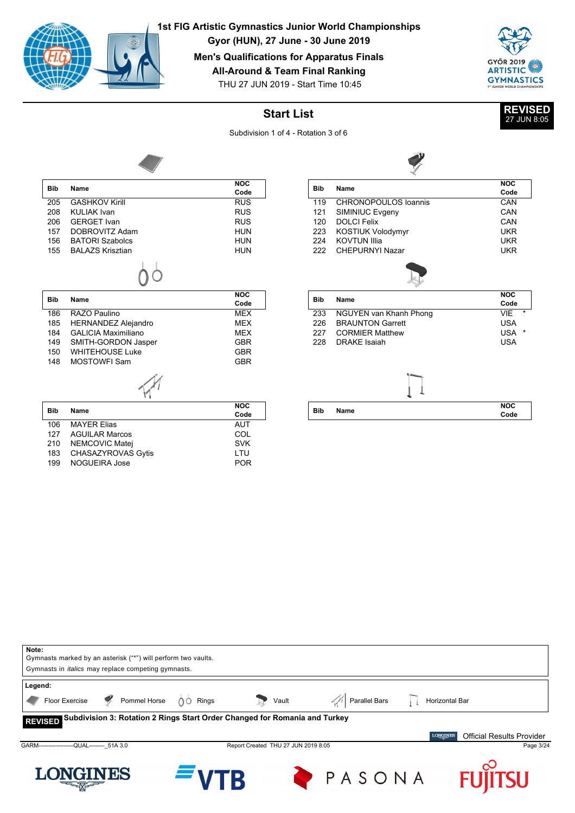

**Gyor (HUN), 27 June - 30 June 2019**

#### **Men's Qualifications for Apparatus Finals**

**All-Around & Team Final Ranking**

THU 27 JUN 2019 - Start Time 10:45



### **Start List**







199 NOGUEIRA Jose **POR** 

| <b>Bib</b> | <b>Name</b>                     | <b>NOC</b><br>Code |
|------------|---------------------------------|--------------------|
| 119        | CHRONOPOULOS Ioannis            | CAN                |
|            |                                 | CAN                |
| 121<br>120 | SIMINIUC Evgeny<br>DOI CI Felix | CAN                |
|            |                                 |                    |
| 223        | KOSTIUK Volodymyr               | <b>UKR</b>         |
| 224        | KOVTUN Illia                    | <b>UKR</b>         |
| 222        | <b>CHEPURNYI Nazar</b>          | <b>UKR</b>         |
|            |                                 | <b>NOC</b>         |
|            |                                 |                    |
| <b>Bib</b> | <b>Name</b>                     | Code               |
| 233        | NGUYEN van Khanh Phong          | $\star$<br>VIE     |
| 226        | <b>BRAUNTON Garrett</b>         | <b>USA</b>         |
| 227        | <b>CORMIFR Matthew</b>          | <b>USA</b><br>*    |
| 228        | <b>DRAKF</b> Isaiah             | USA                |
|            |                                 |                    |
| <b>Bib</b> | Name                            | <b>NOC</b>         |

 $\mathbf{v}$ 

| Note:<br>Gymnasts marked by an asterisk ("*") will perform two vaults.<br>Gymnasts in <i>italics</i> may replace competing gymnasts. |                                                                            |                                     |                        |                 |                                  |
|--------------------------------------------------------------------------------------------------------------------------------------|----------------------------------------------------------------------------|-------------------------------------|------------------------|-----------------|----------------------------------|
| Legend:                                                                                                                              |                                                                            |                                     |                        |                 |                                  |
| Floor Exercise<br>v.                                                                                                                 | Pommel Horse<br>$\bigcap$ $\bigcirc$ Rings                                 | Vault                               | <b>A</b> Parallel Bars | Horizontal Bar  |                                  |
| <b>REVISED</b>                                                                                                                       | Subdivision 3: Rotation 2 Rings Start Order Changed for Romania and Turkey |                                     |                        |                 |                                  |
|                                                                                                                                      |                                                                            |                                     |                        | <b>LONGINES</b> | <b>Official Results Provider</b> |
| GARM--------------------QUAL-------- 51A 3.0                                                                                         |                                                                            | Report Created THU 27 JUN 2019 8:05 |                        |                 | Page 3/24                        |
| <b>LONGINES</b><br><b>ANGLES</b>                                                                                                     | <sup>=</sup> VTR                                                           |                                     | PASONA                 |                 | <b>FUJITSU</b>                   |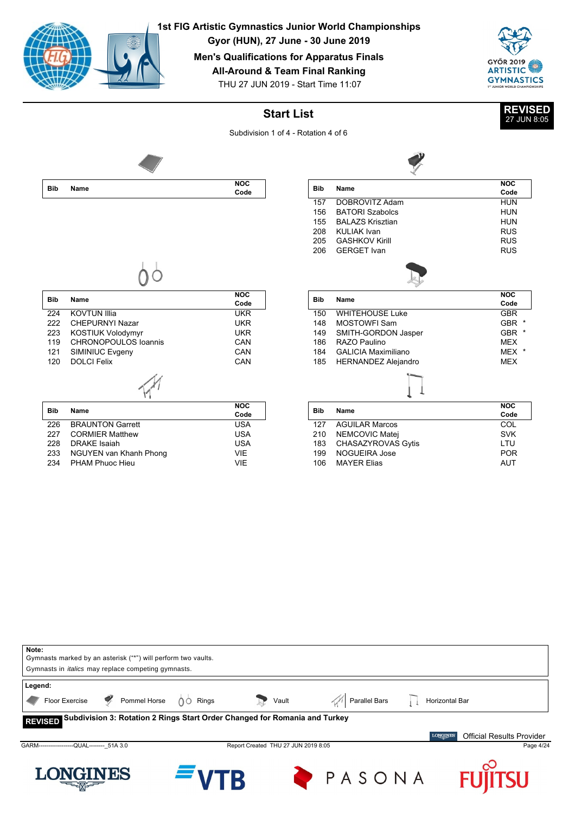

| Note:<br>Gymnasts marked by an asterisk ("*") will perform two vaults.<br>Gymnasts in <i>italics</i> may replace competing gymnasts. |                            |                                     |                        |                 |                                               |  |  |  |
|--------------------------------------------------------------------------------------------------------------------------------------|----------------------------|-------------------------------------|------------------------|-----------------|-----------------------------------------------|--|--|--|
| Legend:<br>Pommel Horse<br>Floor Exercise<br>v.                                                                                      | $\bigcap$ $\bigcirc$ Rings | $\mathbb{R}$ Vault                  | <b>M</b> Parallel Bars |                 | Horizontal Bar                                |  |  |  |
| REVISED Subdivision 3: Rotation 2 Rings Start Order Changed for Romania and Turkey                                                   |                            |                                     |                        | <b>LONGINES</b> |                                               |  |  |  |
| GARM--------------------QUAL-------- 51A 3.0                                                                                         |                            | Report Created THU 27 JUN 2019 8:05 |                        |                 | <b>Official Results Provider</b><br>Page 4/24 |  |  |  |
| <b>LONGINES</b><br>부부부                                                                                                               | TR                         |                                     | PASONA                 |                 | <b>FUILTSU</b>                                |  |  |  |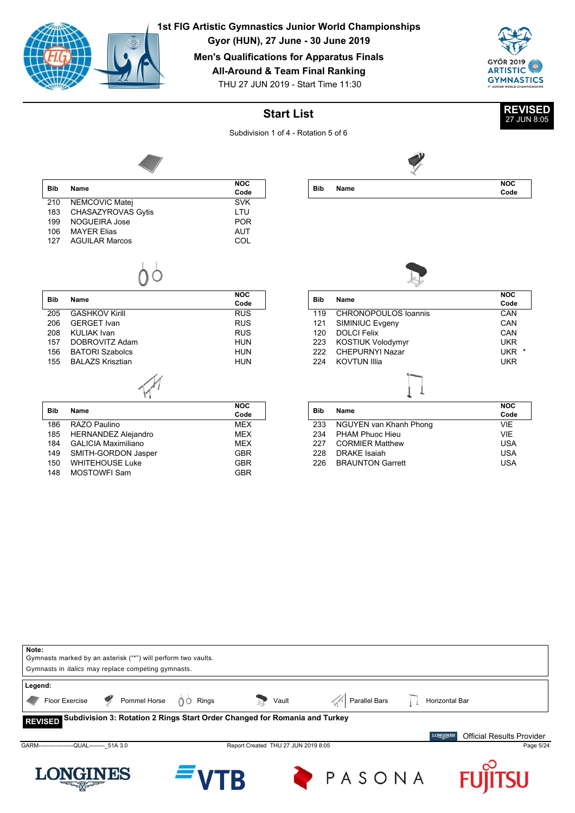

**Gyor (HUN), 27 June - 30 June 2019**

**Men's Qualifications for Apparatus Finals**

**All-Around & Team Final Ranking**

THU 27 JUN 2019 - Start Time 11:30





| Note:<br>Gymnasts marked by an asterisk ("*") will perform two vaults.<br>Gymnasts in <i>italics</i> may replace competing gymnasts. |                                            |                                     |               |                 |                                  |
|--------------------------------------------------------------------------------------------------------------------------------------|--------------------------------------------|-------------------------------------|---------------|-----------------|----------------------------------|
| Legend:<br>V<br>Floor Exercise                                                                                                       | Pommel Horse<br>$\bigcap$ $\bigcirc$ Rings | Vault                               | Parallel Bars | Horizontal Bar  |                                  |
| REVISED Subdivision 3: Rotation 2 Rings Start Order Changed for Romania and Turkey                                                   |                                            |                                     |               | <b>LONGINES</b> | <b>Official Results Provider</b> |
| GARM--------------------QUAL-------- 51A 3.0                                                                                         |                                            | Report Created THU 27 JUN 2019 8:05 |               |                 | Page 5/24                        |
| <b>LONGINES</b><br>三位                                                                                                                |                                            |                                     | PASONA        |                 | <b>FUITSU</b>                    |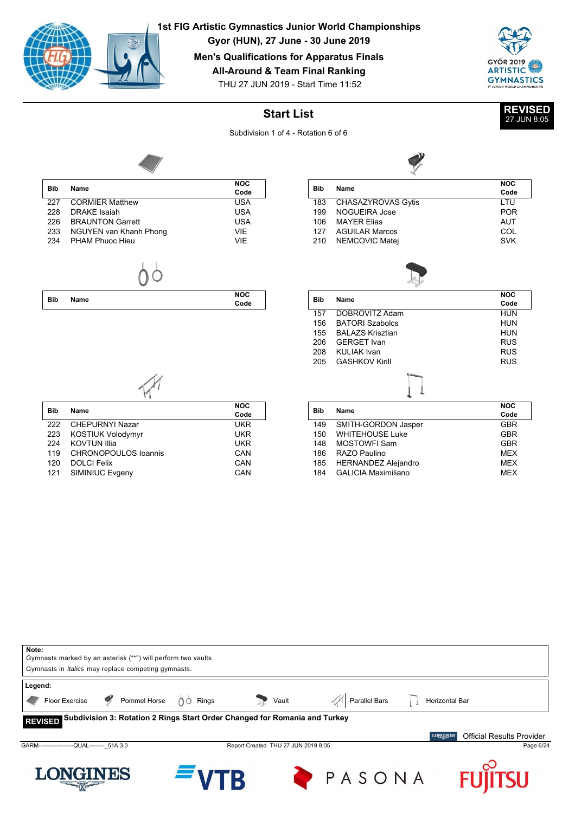

**Gyor (HUN), 27 June - 30 June 2019**

**Men's Qualifications for Apparatus Finals**

**All-Around & Team Final Ranking**

THU 27 JUN 2019 - Start Time 11:52



#### **Start List** Subdivision 1 of 4 - Rotation 6 of 6 **REVISED** 27 JUN 8:05 **Bib Name NOC Code** 227 CORMIER Matthew USA 228 DRAKE Isaiah USA 226 BRAUNTON Garrett<br>233 NGUYEN van Khanh Phong NET VIE 233 NGUYEN van Khanh Phong 234 PHAM Phuoc Hieu VIE **Bib Name NOC Code** 183 CHASAZYROVAS Gytis LTU 199 NOGUEIRA Jose **POR** 106 MAYER Elias AUT AGUILAR Marcos 210 NEMCOVIC Matej **Bib Name NOC Code Bib Name NOC Code** 157 DOBROVITZ Adam HUN<br>156 BATORI Szabolcs HUN **BATORI Szabolcs** 155 BALAZS Krisztian 1988 - HUN HUN<br>1996 GERGET Ivan 1998 - HUN RUS GERGET Ivan 208 KULIAK Ivan RUS 205 GASHKOV Kirill **RUS Bib Name NOC Code** 222 CHEPURNYI Nazar UKR 223 KOSTIUK Volodymyr Carl Communist Communist UKR 224 KOVTUN Illia UKR 119 CHRONOPOULOS Ioannis 120 DOLCI Felix CAN 121 SIMINIUC Evgeny CAN **Bib Name NOC Code** 149 SMITH-GORDON Jasper GBR 150 WHITEHOUSE Luke GBR 148 MOSTOWFI Sam GBR<br>186 RAZO Paulino GBR GBR MEX 186 RAZO Paulino<br>185 HERNANDEZ HERNANDEZ Alejandro MEX 184 GALICIA Maximiliano MEX

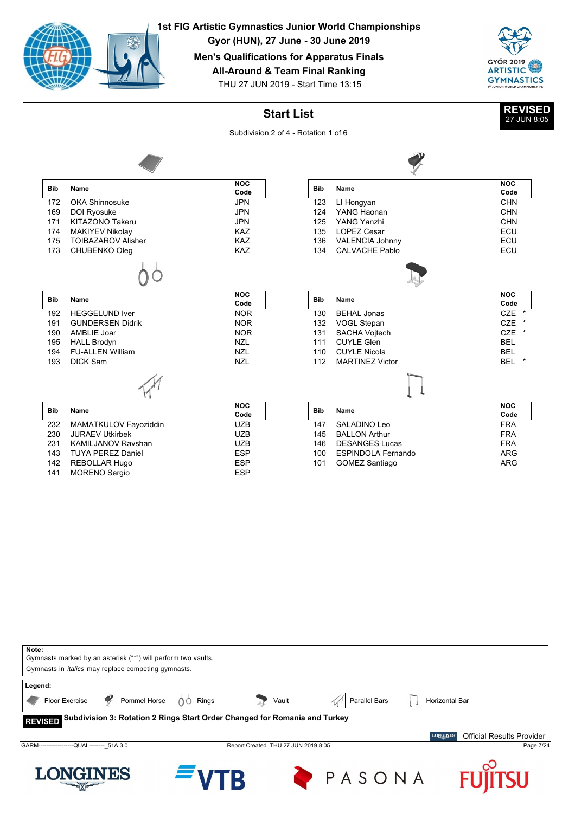

**Gyor (HUN), 27 June - 30 June 2019**

### **Men's Qualifications for Apparatus Finals**

**All-Around & Team Final Ranking**

THU 27 JUN 2019 - Start Time 13:15



**REVISED** 27 JUN 8:05

# **Start List** Subdivision 2 of 4 - Rotation 1 of 6



|            | ,,                        |            |
|------------|---------------------------|------------|
| <b>Bib</b> | Name                      | <b>NOC</b> |
|            |                           | Code       |
| 232        | MAMATKULOV Fayoziddin     | <b>UZB</b> |
| 230        | <b>JURAEV Utkirbek</b>    | <b>UZB</b> |
| 231        | <b>KAMILJANOV Ravshan</b> | <b>UZB</b> |
| 143        | <b>TUYA PEREZ Daniel</b>  | <b>ESP</b> |
| 142        | <b>REBOLLAR Hugo</b>      | <b>ESP</b> |
| 141        | <b>MORENO Sergio</b>      | <b>FSP</b> |
|            |                           |            |

|            |                        | <b>NOC</b> |
|------------|------------------------|------------|
| <b>Bib</b> | Name                   | Code       |
| 123        | LI Hongyan             | <b>CHN</b> |
| 124        | YANG Haonan            | <b>CHN</b> |
| 125        | YANG Yanzhi            | CHN        |
| 135        | <b>LOPEZ Cesar</b>     | ECU        |
| 136        | <b>VALENCIA Johnny</b> | ECU        |
| 134        | <b>CALVACHE Pablo</b>  | ECU        |
|            |                        |            |
|            |                        | <b>NOC</b> |
| <b>Bib</b> | Name                   | Code       |

| 130 | <b>BEHAL Jonas</b>     | $\star$<br>CZE |
|-----|------------------------|----------------|
| 132 | <b>VOGL Stepan</b>     | CZE<br>*       |
| 131 | <b>SACHA Voitech</b>   | CZE<br>*       |
| 111 | <b>CUYLE Glen</b>      | BEL            |
| 110 | <b>CUYLE Nicola</b>    | BEL            |
| 112 | <b>MARTINEZ Victor</b> | *<br>BEL       |
|     |                        |                |
| Bib | Name                   | <b>NOC</b>     |
|     |                        | Code           |
| 147 | SALADINO Leo           | <b>FRA</b>     |
| 145 | <b>BALLON Arthur</b>   | <b>FRA</b>     |
| 146 | <b>DESANGES Lucas</b>  | <b>FRA</b>     |
| 100 | ESPINDOLA Fernando     | ARG            |
| 101 | <b>GOMEZ Santiago</b>  |                |

| Note:<br>Gymnasts marked by an asterisk ("*") will perform two vaults.<br>Gymnasts in <i>italics</i> may replace competing gymnasts.      |              |                   |                                     |               |                       |                |  |
|-------------------------------------------------------------------------------------------------------------------------------------------|--------------|-------------------|-------------------------------------|---------------|-----------------------|----------------|--|
| Legend:<br>Floor Exercise                                                                                                                 | Pommel Horse | Rings<br>$\Omega$ | Vault                               | Parallel Bars | <b>Horizontal Bar</b> |                |  |
| REVISED Subdivision 3: Rotation 2 Rings Start Order Changed for Romania and Turkey<br><b>LONGINES</b><br><b>Official Results Provider</b> |              |                   |                                     |               |                       |                |  |
| GARM--------------------QUAL-------- 51A 3.0                                                                                              |              |                   | Report Created THU 27 JUN 2019 8:05 |               |                       | Page 7/24      |  |
| <b>LONGINES</b><br>부부는                                                                                                                    |              |                   |                                     | PASONA        |                       | <b>FUILTSU</b> |  |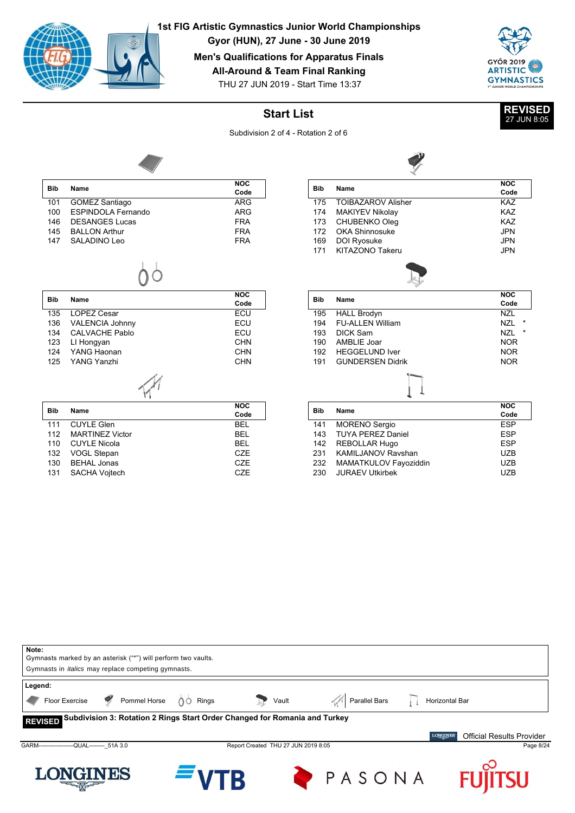

**Gyor (HUN), 27 June - 30 June 2019**

**Men's Qualifications for Apparatus Finals**

**All-Around & Team Final Ranking**

THU 27 JUN 2019 - Start Time 13:37



### **Start List**

Subdivision 2 of 4 - Rotation 2 of 6





| <b>Bib</b> | Name                   | <b>NOC</b><br>Code |
|------------|------------------------|--------------------|
| 111        | <b>CUYLE Glen</b>      | <b>BEL</b>         |
| 112        | <b>MARTINFZ Victor</b> | <b>BEL</b>         |
| 110        | <b>CUYLE Nicola</b>    | BEL                |
| 132        | <b>VOGL Stepan</b>     | <b>CZE</b>         |
| 130        | <b>BEHAL Jonas</b>     | <b>CZE</b>         |
| 131        | <b>SACHA Vojtech</b>   | CZE.               |

 $\sqrt{11}$ 

|     |                           | <b>NOC</b> |
|-----|---------------------------|------------|
| Bib | Name                      | Code       |
| 175 | <b>TOIBAZAROV Alisher</b> | <b>KAZ</b> |
| 174 | <b>MAKIYEV Nikolay</b>    | <b>KAZ</b> |
| 173 | CHUBENKO Oleg             | <b>KAZ</b> |
| 172 | <b>OKA Shinnosuke</b>     | <b>JPN</b> |
| 169 | DOI Ryosuke               | <b>JPN</b> |
| 171 | <b>KITAZONO Takeru</b>    | <b>JPN</b> |
|     |                           |            |

| <b>Bib</b> | Name                     | <b>NOC</b>     |
|------------|--------------------------|----------------|
|            |                          | Code           |
| 195        | <b>HALL Brodyn</b>       | NZL            |
| 194        | <b>FU-ALLEN William</b>  | $\star$<br>NZL |
| 193        | DICK Sam                 | $\star$<br>NZL |
| 190        | AMBLIE Joar              | <b>NOR</b>     |
| 192        | <b>HEGGELUND Iver</b>    | <b>NOR</b>     |
| 191        | <b>GUNDERSEN Didrik</b>  | <b>NOR</b>     |
|            |                          |                |
| <b>Bib</b> | Name                     | <b>NOC</b>     |
|            |                          | Code           |
| 141        | <b>MORENO Sergio</b>     | ESP            |
| 143        | <b>TUYA PEREZ Daniel</b> | <b>ESP</b>     |
| 142        | <b>REBOLLAR Hugo</b>     | <b>ESP</b>     |
| 231        | KAMILJANOV Ravshan       | UZB            |

232 MAMATKULOV Fayoziddin UZB

230 JURAEV Utkirbek

| Note:                                                      | Gymnasts marked by an asterisk ("*") will perform two vaults.              |      |                                     |               |                 |                                  |  |
|------------------------------------------------------------|----------------------------------------------------------------------------|------|-------------------------------------|---------------|-----------------|----------------------------------|--|
| Gymnasts in <i>italics</i> may replace competing gymnasts. |                                                                            |      |                                     |               |                 |                                  |  |
| Legend:                                                    |                                                                            |      |                                     |               |                 |                                  |  |
| Floor Exercise                                             | Pommel Horse 00 Rings                                                      |      | Vault                               | Parallel Bars | Horizontal Bar  |                                  |  |
| <b>REVISED</b>                                             | Subdivision 3: Rotation 2 Rings Start Order Changed for Romania and Turkey |      |                                     |               |                 |                                  |  |
|                                                            |                                                                            |      |                                     |               | <b>LONGINES</b> | <b>Official Results Provider</b> |  |
| GARM-------------------QUAL-------- 51A 3.0                |                                                                            |      | Report Created THU 27 JUN 2019 8:05 |               |                 | Page 8/24                        |  |
| <b>LONGINES</b>                                            |                                                                            | =VTR |                                     | PASONA        |                 | <b>FUJITSU</b>                   |  |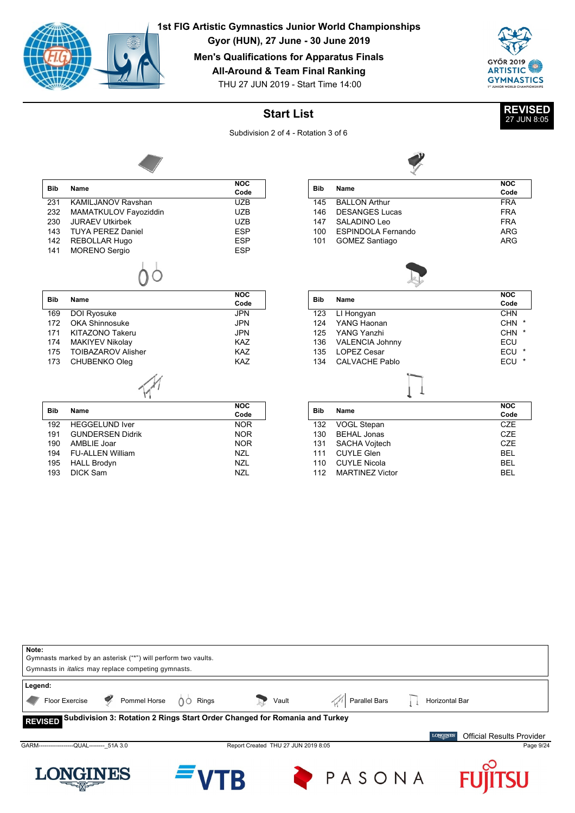

FU-ALLEN William

### **1st FIG Artistic Gymnastics Junior World Championships**

**Gyor (HUN), 27 June - 30 June 2019**

#### **Men's Qualifications for Apparatus Finals**

**All-Around & Team Final Ranking**

THU 27 JUN 2019 - Start Time 14:00



### **Start List**

Subdivision 2 of 4 - Rotation 3 of 6





195 HALL Brodyn NZL 193 DICK Sam NZL

| Bib | Name                  | <b>NOC</b> |
|-----|-----------------------|------------|
|     |                       | Code       |
| 145 | <b>BALLON Arthur</b>  | <b>FRA</b> |
| 146 | DESANGES Lucas        | <b>FRA</b> |
| 147 | SALADINO Leo          | <b>FRA</b> |
| 100 | ESPINDOLA Fernando    | ARG        |
| 101 | <b>GOMEZ Santiago</b> | ARG        |
|     |                       |            |



| <b>Bib</b>               | Name                   | NOC                   |
|--------------------------|------------------------|-----------------------|
|                          |                        | Code                  |
| 123                      | LI Hongyan             | CHN                   |
| 124                      | YANG Haonan            | <b>CHN</b><br>$\star$ |
| 125                      | YANG Yanzhi            | $\star$<br><b>CHN</b> |
| 136                      | <b>VALENCIA Johnny</b> | ECU                   |
| 135                      | <b>LOPEZ Cesar</b>     | *<br>ECU              |
| 134                      | CALVACHE Pablo         | $\star$<br>ECU        |
|                          |                        |                       |
| <b>Bib</b>               | Name                   | <b>NOC</b>            |
|                          |                        | Code                  |
| 132                      | <b>VOGL Stepan</b>     | CZE                   |
| $\overline{\phantom{a}}$ | ——————————             | ~--                   |

| 130 BEHAL Jonas     | CZE. |
|---------------------|------|
| 131 SACHA Vojtech   | CZE  |
| 111 CUYLE Glen      | BEL  |
| 110 CUYLE Nicola    | BEL  |
| 112 MARTINEZ Victor | BEL. |

| Note:<br>Gymnasts marked by an asterisk ("*") will perform two vaults.<br>Gymnasts in <i>italics</i> may replace competing gymnasts. |                              |                                     |                        |                 |                                  |
|--------------------------------------------------------------------------------------------------------------------------------------|------------------------------|-------------------------------------|------------------------|-----------------|----------------------------------|
| Legend:<br>Floor Exercise                                                                                                            | Pommel Horse $\bigcap$ Rings | Vault                               | <b>M</b> Parallel Bars | Horizontal Bar  |                                  |
| REVISED Subdivision 3: Rotation 2 Rings Start Order Changed for Romania and Turkey                                                   |                              |                                     |                        | <b>LONGINES</b> | <b>Official Results Provider</b> |
| GARM-------------------QUAL-------- 51A 3.0<br><b>LONGINES</b><br><del>= 2017 -</del>                                                | =VTR                         | Report Created THU 27 JUN 2019 8:05 | PASONA                 |                 | Page 9/24<br><b>FUJITSU</b>      |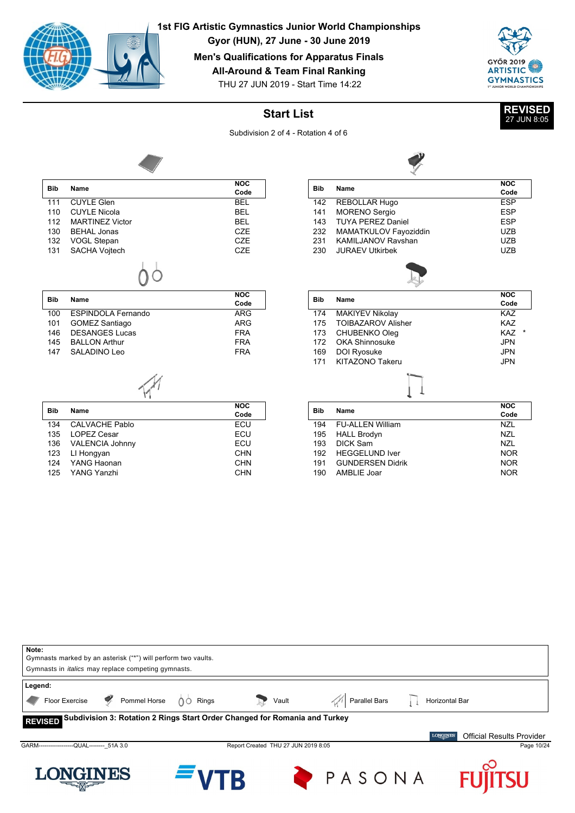

**Gyor (HUN), 27 June - 30 June 2019**

### **Men's Qualifications for Apparatus Finals**

**All-Around & Team Final Ranking**

THU 27 JUN 2019 - Start Time 14:22



### **Start List**

Subdivision 2 of 4 - Rotation 4 of 6





|            |                       | טעו        |
|------------|-----------------------|------------|
| <b>Bib</b> | Name                  | Code       |
| 100        | ESPINDOLA Fernando    | ARG        |
| 101        | <b>GOMEZ Santiago</b> | ARG        |
| 146        | DESANGES Lucas        | <b>FRA</b> |
| 145        | <b>BALLON Arthur</b>  | <b>FRA</b> |
| 147        | SALADINO Leo          | <b>FRA</b> |
|            |                       |            |

| ×<br> <br>r |
|-------------|
|-------------|

|  |            | Name                  | <b>NOC</b> |
|--|------------|-----------------------|------------|
|  | <b>Bib</b> |                       | Code       |
|  | 134        | <b>CALVACHE Pablo</b> | ECU        |
|  | 135        | LOPEZ Cesar           | ECU        |
|  |            | 136 VALENCIA Johnny   | ECU        |
|  |            | 123 LI Hongyan        | <b>CHN</b> |
|  | 124        | YANG Haonan           | <b>CHN</b> |
|  | 125        | YANG Yanzhi           | CHN        |
|  |            |                       |            |

| Bib | <b>Name</b>               | <b>NOC</b> |
|-----|---------------------------|------------|
|     |                           | Code       |
| 142 | <b>REBOLLAR Hugo</b>      | <b>ESP</b> |
| 141 | <b>MORENO Sergio</b>      | <b>ESP</b> |
| 143 | TUYA PFRFZ Daniel         | <b>ESP</b> |
| 232 | MAMATKULOV Fayoziddin     | <b>UZB</b> |
| 231 | <b>KAMILJANOV Ravshan</b> | <b>UZB</b> |
| 230 | <b>JURAEV Utkirbek</b>    | <b>UZB</b> |
|     |                           |            |

|            |                           | NOC        |
|------------|---------------------------|------------|
| Bib        | Name                      | Code       |
| 174        | <b>MAKIYEV Nikolay</b>    | KAZ        |
| 175        | <b>TOIBAZAROV Alisher</b> | <b>KAZ</b> |
| 173        | <b>CHUBENKO Oleg</b>      | KAZ        |
| 172        | <b>OKA Shinnosuke</b>     | JPN        |
| 169        | DOI Ryosuke               | JPN        |
| 171        | KITAZONO Takeru           | JPN        |
|            |                           |            |
| <b>Bib</b> | <b>Name</b>               | <b>NOC</b> |
|            |                           | Code       |
| 194        | <b>FU-ALLEN William</b>   | NZL        |
| 195        | <b>HALL Brodyn</b>        | NZL        |
| 193        | <b>DICK Sam</b>           | NZL        |
| 192        | <b>HEGGELUND Iver</b>     | <b>NOR</b> |
| 191        | <b>GUNDERSEN Didrik</b>   | <b>NOR</b> |
| 190        | AMBLIE Joar               | <b>NOR</b> |

| Note:<br>Gymnasts marked by an asterisk ("*") will perform two vaults.<br>Gymnasts in <i>italics</i> may replace competing gymnasts. |                            |                                     |                 |                       |                                  |
|--------------------------------------------------------------------------------------------------------------------------------------|----------------------------|-------------------------------------|-----------------|-----------------------|----------------------------------|
| Legend:<br>Pommel Horse<br>Floor Exercise                                                                                            | $\bigcap$ $\bigcirc$ Rings | Vault                               | M Parallel Bars | <b>Horizontal Bar</b> |                                  |
| REVISED Subdivision 3: Rotation 2 Rings Start Order Changed for Romania and Turkey                                                   |                            |                                     |                 | <b>LONGINES</b>       | <b>Official Results Provider</b> |
| GARM--------------------QUAL-------- 51A 3.0<br><b>LONGINES</b><br><b>CONSPITE</b>                                                   |                            | Report Created THU 27 JUN 2019 8:05 | PASONA          |                       | Page 10/24<br><b>FUJITSU</b>     |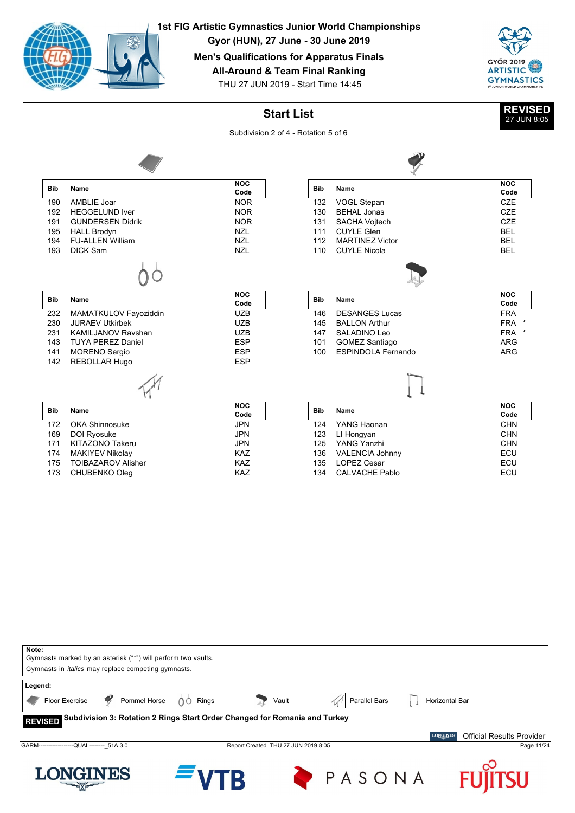

**Gyor (HUN), 27 June - 30 June 2019**

### **Men's Qualifications for Apparatus Finals**

**All-Around & Team Final Ranking**

THU 27 JUN 2019 - Start Time 14:45



### **Start List**



Subdivision 2 of 4 - Rotation 5 of 6



| טוס        | манне                    | Code       |
|------------|--------------------------|------------|
| 232        | MAMATKULOV Fayoziddin    | <b>UZB</b> |
| 230        | <b>JURAEV Utkirbek</b>   | <b>UZB</b> |
| 231        | KAMILJANOV Ravshan       | <b>UZB</b> |
| 143        | <b>TUYA PEREZ Daniel</b> | <b>ESP</b> |
| 141        | <b>MORENO Sergio</b>     | <b>ESP</b> |
| 142        | <b>REBOLLAR Hugo</b>     | <b>ESP</b> |
|            |                          |            |
| <b>Bib</b> | Name                     | <b>NOC</b> |
|            |                          | Code       |
| 172        | <b>OKA Shinnosuke</b>    | <b>JPN</b> |
| 169        | DOI Ryosuke              | JPN        |

171 KITAZONO Takeru 1988 - JPN JPN JPN 174 MAKIYEV Nikolay

175 TOIBAZAROV Alisher KAZ<br>173 CHUBENKO Oleg KAZ

MAKIYEV Nikolay

173 CHUBENKO Oleg

| <b>Bib</b> | Name                   | <b>NOC</b> |
|------------|------------------------|------------|
|            |                        | Code       |
| 132        | VOGL Stepan            | <b>CZE</b> |
| 130        | <b>BEHAL Jonas</b>     | <b>CZE</b> |
| 131        | <b>SACHA Vojtech</b>   | <b>CZE</b> |
| 111        | <b>CUYLE Glen</b>      | <b>BEL</b> |
| 112        | <b>MARTINEZ Victor</b> | BEL        |
| 110        | <b>CUYLE Nicola</b>    | <b>BEL</b> |
|            |                        |            |

| Bib | <b>Name</b>               | <b>NOC</b>            |
|-----|---------------------------|-----------------------|
|     |                           | Code                  |
| 146 | <b>DESANGES Lucas</b>     | <b>FRA</b>            |
| 145 | <b>BALLON Arthur</b>      | $\star$<br><b>FRA</b> |
| 147 | SALADINO Leo              | $\star$<br><b>FRA</b> |
| 101 | <b>GOMEZ Santiago</b>     | ARG                   |
| 100 | <b>FSPINDOLA Fernando</b> | ARG                   |
|     |                           |                       |

|     |                       | <b>NOC</b> |
|-----|-----------------------|------------|
| Bib | Name                  | Code       |
| 124 | YANG Haonan           | CHN        |
| 123 | LI Hongyan            | CHN        |
| 125 | YANG Yanzhi           | CHN        |
| 136 | VALENCIA Johnny       | ECU        |
| 135 | <b>LOPEZ Cesar</b>    | ECU        |
| 134 | <b>CALVACHE Pablo</b> | ECU        |
|     |                       |            |

| Note:<br>Gymnasts marked by an asterisk ("*") will perform two vaults.<br>Gymnasts in <i>italics</i> may replace competing gymnasts. |                                                                                    |             |                                     |               |                 |                                  |
|--------------------------------------------------------------------------------------------------------------------------------------|------------------------------------------------------------------------------------|-------------|-------------------------------------|---------------|-----------------|----------------------------------|
| Legend:<br>Floor Exercise                                                                                                            | Pommel Horse                                                                       | Rings<br>00 | Vault                               | Parallel Bars | Horizontal Bar  |                                  |
|                                                                                                                                      | REVISED Subdivision 3: Rotation 2 Rings Start Order Changed for Romania and Turkey |             |                                     |               | <b>LONGINES</b> | <b>Official Results Provider</b> |
| GARM--------------------QUAL-------- 51A 3.0<br><b>LONGINES</b><br><u>= 1973 - </u>                                                  |                                                                                    | <b>VTR</b>  | Report Created THU 27 JUN 2019 8:05 | PASONA        |                 | Page 11/24<br><b>FUJITSU</b>     |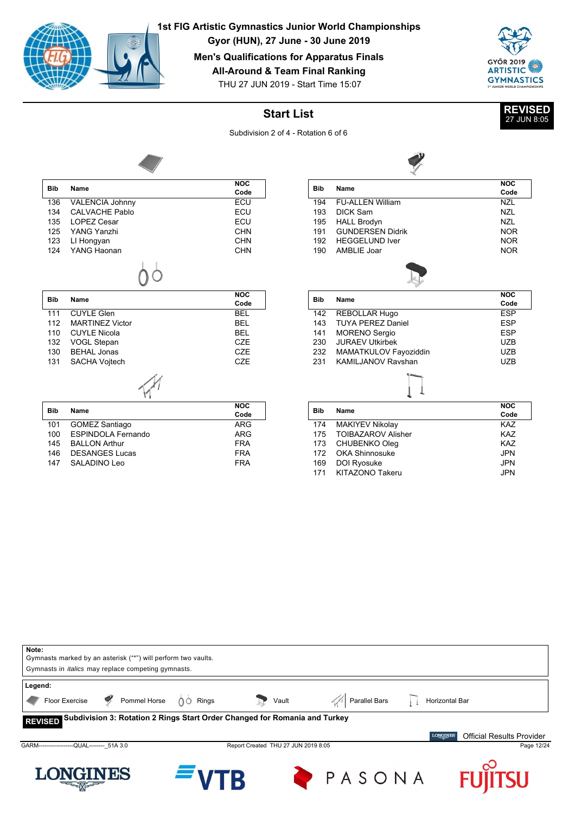

**Gyor (HUN), 27 June - 30 June 2019**

**Men's Qualifications for Apparatus Finals**

**All-Around & Team Final Ranking**

THU 27 JUN 2019 - Start Time 15:07



### **Start List**







147 SALADINO Leo FRA

DESANGES Lucas

|     | <b>Name</b>             | <b>NOC</b> |
|-----|-------------------------|------------|
| Bib |                         | Code       |
| 194 | <b>FU-ALLEN William</b> | <b>NZL</b> |
| 193 | <b>DICK Sam</b>         | N71        |
| 195 | <b>HALL Brodyn</b>      | <b>NZL</b> |
| 191 | <b>GUNDERSEN Didrik</b> | <b>NOR</b> |
| 192 | <b>HEGGELUND Iver</b>   | <b>NOR</b> |
| 190 | AMBLIE Joar             | <b>NOR</b> |

 $\mathbb{Z}$ 

| <b>Bib</b> | Name                     | <b>NOC</b> |
|------------|--------------------------|------------|
|            |                          | Code       |
| 142        | <b>REBOLLAR Hugo</b>     | ESP        |
| 143        | <b>TUYA PEREZ Daniel</b> | <b>ESP</b> |
| 141        | <b>MORENO Sergio</b>     | ESP        |
| 230        | <b>JURAEV Utkirbek</b>   | UZB        |
| 232        | MAMATKULOV Fayoziddin    | UZB        |
| 231        | KAMIL JANOV Ravshan      | UZB        |
|            |                          |            |
| Bib        | Name                     | <b>NOC</b> |
|            |                          | Code       |
| 174        | <b>MAKIYEV Nikolay</b>   | KAZ        |
| 175        | TOIBAZAROV Alisher       | KA7        |

| 174 MAKIYEV Nikolay    | KA7        |
|------------------------|------------|
| 175 TOIBAZAROV Alisher | <b>KAZ</b> |
| 173 CHUBENKO Oleg      | <b>KAZ</b> |
| 172 OKA Shinnosuke     | <b>JPN</b> |
| 169 DOI Ryosuke        | <b>JPN</b> |
| 171 KITAZONO Takeru    | <b>JPN</b> |
|                        |            |

| Note:<br>Gymnasts marked by an asterisk ("*") will perform two vaults.<br>Gymnasts in <i>italics</i> may replace competing gymnasts. |                                                                                    |                   |                                     |               |                 |                                  |
|--------------------------------------------------------------------------------------------------------------------------------------|------------------------------------------------------------------------------------|-------------------|-------------------------------------|---------------|-----------------|----------------------------------|
| Legend:<br>Floor Exercise                                                                                                            | Pommel Horse                                                                       | Rings<br>$\Omega$ | Vault                               | Parallel Bars | Horizontal Bar  |                                  |
|                                                                                                                                      | REVISED Subdivision 3: Rotation 2 Rings Start Order Changed for Romania and Turkey |                   |                                     |               | <b>LONGINES</b> | <b>Official Results Provider</b> |
| GARM--------------------QUAL-------- 51A 3.0<br><b>LONGINES</b><br><u>= 1973 - </u>                                                  |                                                                                    | <b>VTR</b>        | Report Created THU 27 JUN 2019 8:05 | PASONA        |                 | Page 12/24<br><b>FUJITSU</b>     |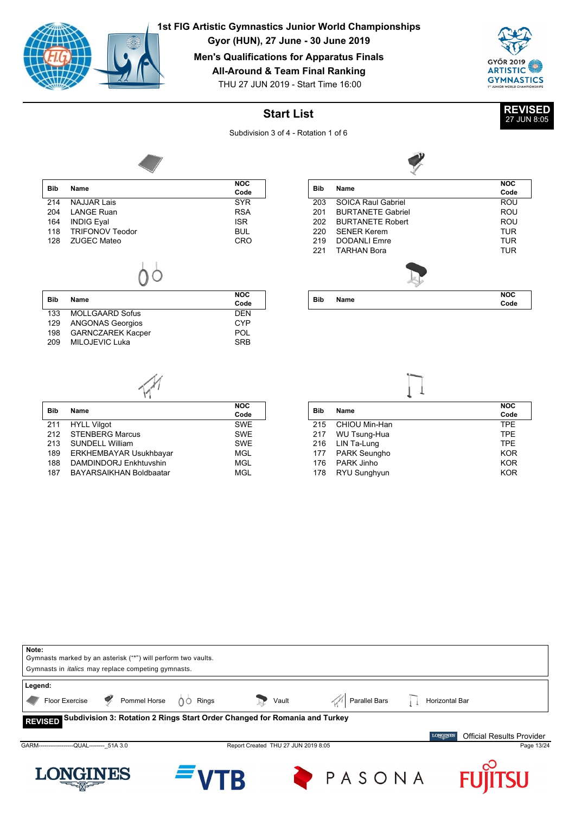

 $\Gamma$ 

**1st FIG Artistic Gymnastics Junior World Championships**

**Gyor (HUN), 27 June - 30 June 2019**

┑

**Men's Qualifications for Apparatus Finals**

**All-Around & Team Final Ranking**

THU 27 JUN 2019 - Start Time 16:00



### **Start List**

Subdivision 3 of 4 - Rotation 1 of 6





|     |                          | <b>NOC</b> |
|-----|--------------------------|------------|
| Bib | Name                     | Code       |
| 133 | <b>MOLLGAARD Sofus</b>   | <b>DFN</b> |
| 129 | <b>ANGONAS Georgios</b>  | CYP        |
| 198 | <b>GARNCZAREK Kacper</b> | POL        |
| 209 | MILOJEVIC Luka           | <b>SRR</b> |

| Bib | Name                      | <b>NOC</b> |
|-----|---------------------------|------------|
|     |                           | Code       |
| 203 | <b>SOICA Raul Gabriel</b> | <b>ROU</b> |
| 201 | <b>BURTANETE Gabriel</b>  | <b>ROU</b> |
| 202 | <b>BURTANETE Robert</b>   | ROU        |
| 220 | <b>SENER Kerem</b>        | <b>TUR</b> |
| 219 | <b>DODANLI Emre</b>       | TUR        |
| 221 | <b>TARHAN Bora</b>        | <b>TUR</b> |
|     |                           |            |
|     |                           | <b>NOC</b> |
| Bib | Name                      | Code       |

| Bib | Name                | <b>NOC</b> |
|-----|---------------------|------------|
|     |                     | Code       |
| 215 | CHIOU Min-Han       | <b>TPE</b> |
| 217 | <b>WU Tsung-Hua</b> | <b>TPE</b> |
| 216 | LIN Ta-Lung         | TPE        |
| 177 | <b>PARK Seungho</b> | <b>KOR</b> |
| 176 | PARK Jinho          | <b>KOR</b> |
| 178 | <b>RYU Sunghyun</b> | KOR        |

178 RYU Sunghyun

| <b>Bib</b> | Name                          | <b>NOC</b> |
|------------|-------------------------------|------------|
|            |                               | Code       |
| 211        | <b>HYLL Vilgot</b>            | <b>SWE</b> |
| 212        | <b>STENBERG Marcus</b>        | <b>SWE</b> |
| 213        | <b>SUNDELL William</b>        | <b>SWE</b> |
| 189        | <b>ERKHEMBAYAR Usukhbayar</b> | MGL        |
| 188        | DAMDINDORJ Enkhtuvshin        | MGL        |
| 187        | BAYARSAIKHAN Boldbaatar       | MGL        |

| Note:                                                         |                                                                            |                                     |                                                     |
|---------------------------------------------------------------|----------------------------------------------------------------------------|-------------------------------------|-----------------------------------------------------|
| Gymnasts marked by an asterisk ("*") will perform two vaults. |                                                                            |                                     |                                                     |
| Gymnasts in <i>italics</i> may replace competing gymnasts.    |                                                                            |                                     |                                                     |
| Legend:                                                       |                                                                            |                                     |                                                     |
| Pommel Horse<br>Floor Exercise<br>❤                           | $\bigcap$ $\bigcirc$ Rings                                                 | Parallel Bars<br>Vault              | Horizontal Bar                                      |
| <b>REVISED</b>                                                | Subdivision 3: Rotation 2 Rings Start Order Changed for Romania and Turkey |                                     |                                                     |
|                                                               |                                                                            |                                     | <b>LONGINES</b><br><b>Official Results Provider</b> |
| GARM-------------------QUAL-------- 51A 3.0                   |                                                                            | Report Created THU 27 JUN 2019 8:05 | Page 13/24                                          |
| <b>LONGINES</b><br>=252                                       | TR                                                                         | PASONA                              | <b>FUILTSU</b>                                      |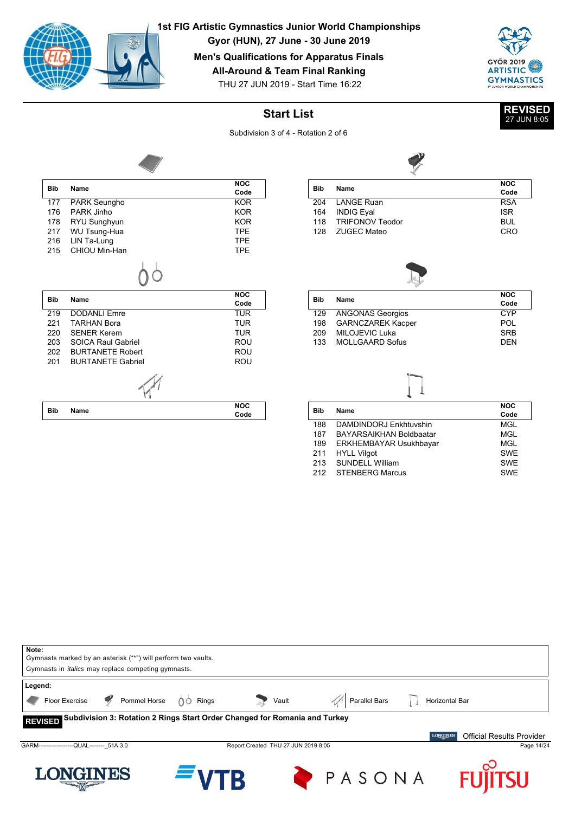

WU Tsung-Hua

215 CHIOU Min-Han

**Bib Name**

**1st FIG Artistic Gymnastics Junior World Championships**

**Gyor (HUN), 27 June - 30 June 2019**

**Men's Qualifications for Apparatus Finals**

**All-Around & Team Final Ranking**

THU 27 JUN 2019 - Start Time 16:22



**REVISED** 27 JUN 8:05

### **Start List**

Subdivision 3 of 4 - Rotation 2 of 6



|            |                           | <b>NOC</b> |
|------------|---------------------------|------------|
| <b>Bib</b> | Name                      | Code       |
| 219        | <b>DODANLI Emre</b>       | <b>TUR</b> |
| 221        | <b>TARHAN Bora</b>        | TUR        |
| 220        | <b>SFNFR Kerem</b>        | TUR        |
| 203        | <b>SOICA Raul Gabriel</b> | ROU        |
| 202        | <b>BURTANETE Robert</b>   | ROU        |
| 201        | <b>BURTANETE Gabriel</b>  | ROU        |
|            |                           |            |
| <b>Bib</b> | Name                      | <b>NOC</b> |
|            |                           | Code       |

| Bib | Name                   | <b>NOC</b> |
|-----|------------------------|------------|
|     |                        | Code       |
| 204 | <b>LANGE Ruan</b>      | <b>RSA</b> |
| 164 | <b>INDIG Eyal</b>      | <b>ISR</b> |
| 118 | <b>TRIFONOV Teodor</b> | <b>BUL</b> |
| 128 | <b>ZUGEC Mateo</b>     | CRO        |



| Bib | Name                     | <b>NOC</b><br>Code |
|-----|--------------------------|--------------------|
| 129 | <b>ANGONAS Georgios</b>  | CYP                |
| 198 | <b>GARNCZAREK Kacper</b> | POL                |
| 209 | MILOJEVIC Luka           | <b>SRB</b>         |
| 133 | <b>MOLLGAARD Sofus</b>   | DFN                |



|      |            | -                              |            |
|------|------------|--------------------------------|------------|
| NOC  | <b>Bib</b> | Name                           | <b>NOC</b> |
| Code |            |                                | Code       |
|      | 188        | DAMDINDORJ Enkhtuvshin         | MGL        |
|      | 187        | <b>BAYARSAIKHAN Boldbaatar</b> | MGL        |
|      | 189        | ERKHEMBAYAR Usukhbayar         | MGL        |
|      | 211        | <b>HYLL Vilgot</b>             | <b>SWE</b> |
|      | 213        | <b>SUNDELL William</b>         | <b>SWE</b> |
|      | 212        | <b>STENBERG Marcus</b>         | <b>SWE</b> |
|      |            |                                |            |

| Note:                                                                               | Gymnasts marked by an asterisk ("*") will perform two vaults.<br>Gymnasts in <i>italics</i> may replace competing gymnasts. |                   |                                     |               |                |                                  |
|-------------------------------------------------------------------------------------|-----------------------------------------------------------------------------------------------------------------------------|-------------------|-------------------------------------|---------------|----------------|----------------------------------|
| Legend:<br>Floor Exercise                                                           | Pommel Horse                                                                                                                | Rings<br>$\Omega$ | Vault                               | Parallel Bars | Horizontal Bar |                                  |
| REVISED Subdivision 3: Rotation 2 Rings Start Order Changed for Romania and Turkey  |                                                                                                                             |                   |                                     |               | LONGINES       | <b>Official Results Provider</b> |
| GARM--------------------QUAL-------- 51A 3.0<br><b>LONGINES</b><br><u>= 1973 - </u> |                                                                                                                             | <b>VTR</b>        | Report Created THU 27 JUN 2019 8:05 | PASONA        |                | Page 14/24<br><b>FUJITSU</b>     |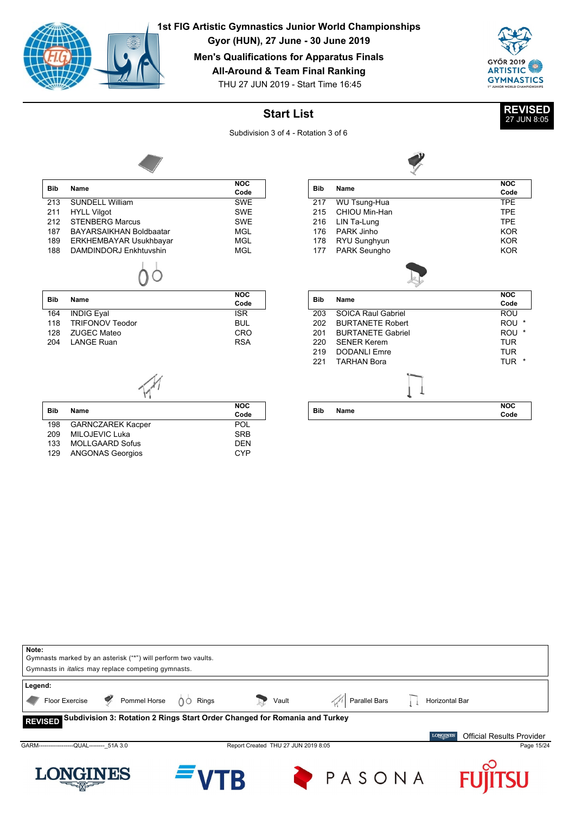

**Gyor (HUN), 27 June - 30 June 2019**

### **Men's Qualifications for Apparatus Finals**

**All-Around & Team Final Ranking**

THU 27 JUN 2019 - Start Time 16:45



**NOC Code**

### **Start List**

Subdivision 3 of 4 - Rotation 3 of 6

**Bib Name**



#### **NOC Bib Name Code** 213 SUNDELL William SWE<br>
211 HYLL Vilgot<br>
SWE 211 HYLL Vilgot 212 STENBERG Marcus SWE BAYARSAIKHAN Boldbaatar 189 ERKHEMBAYAR Usukhbayar MGL<br>188 DAMDINDORJ Enkhtuvshin MGL DAMDINDORJ Enkhtuvshin C **NOC Bib Name Code** 164 INDIG Eyal ISR 118 TRIFONOV Teodor BUL 128 ZUGEC Mateo CRO<br>129 LANGE Ruan CRO CRO RSA LANGE Ruan

| <b>Bib</b> | Name                      | <b>NOC</b><br>Code |
|------------|---------------------------|--------------------|
|            |                           |                    |
| 221        | <b>TARHAN Bora</b>        | <b>TUR</b><br>*    |
| 219        | <b>DODANLI Emre</b>       | TUR                |
| 220        | <b>SENER Kerem</b>        | TUR                |
| 201        | <b>BURTANETE Gabriel</b>  | <b>ROU</b><br>*    |
| 202        | <b>BURTANETE Robert</b>   | <b>ROU</b><br>*    |
| 203        | <b>SOICA Raul Gabriel</b> | <b>ROU</b>         |
| <b>Bib</b> | Name                      | <b>NOC</b><br>Code |
|            |                           |                    |
| 177        | <b>PARK Seungho</b>       | <b>KOR</b>         |
| 178        | RYU Sunghyun              | <b>KOR</b>         |
| 176        | PARK Jinho                | <b>KOR</b>         |
| 216        | LIN Ta-Lung               | <b>TPE</b>         |
| 215        | CHIOU Min-Han             | <b>TPE</b>         |
|            | WU Tsung-Hua              |                    |

| <b>Bib</b> | Name                     | <b>NOC</b> |
|------------|--------------------------|------------|
|            |                          | Code       |
| 198        | <b>GARNCZAREK Kacper</b> | POL        |
| 209        | <b>MILOJEVIC Luka</b>    | <b>SRB</b> |
| 133        | <b>MOLLGAARD Sofus</b>   | DEN        |
| 129        | <b>ANGONAS Georgios</b>  | <b>CYP</b> |

| Note:<br>Gymnasts marked by an asterisk ("*") will perform two vaults.<br>Gymnasts in <i>italics</i> may replace competing gymnasts. |                                                                            |                                     |                 |                 |                                                |
|--------------------------------------------------------------------------------------------------------------------------------------|----------------------------------------------------------------------------|-------------------------------------|-----------------|-----------------|------------------------------------------------|
| Legend:<br>Floor Exercise                                                                                                            | Pommel Horse $\bigcirc$ Rings                                              | Vault                               | M Parallel Bars | Horizontal Bar  |                                                |
| <b>REVISED</b>                                                                                                                       | Subdivision 3: Rotation 2 Rings Start Order Changed for Romania and Turkey |                                     |                 |                 |                                                |
| GARM--------------------QUAL-------- 51A 3.0                                                                                         |                                                                            | Report Created THU 27 JUN 2019 8:05 |                 | <b>LONGINES</b> | <b>Official Results Provider</b><br>Page 15/24 |
| <b>LONGINES</b><br>ਵ⊰ਕ∠                                                                                                              | <b>VTR</b>                                                                 |                                     | PASONA          |                 | <b>FUJITSU</b>                                 |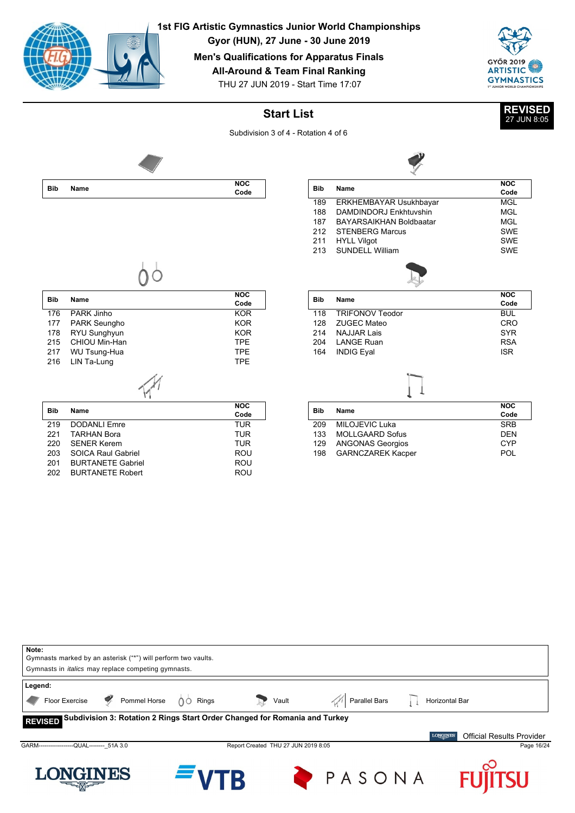

| --         |                           | Code       |
|------------|---------------------------|------------|
| 176        | PARK Jinho                | <b>KOR</b> |
| 177        | <b>PARK Seungho</b>       | <b>KOR</b> |
| 178        | RYU Sunghyun              | <b>KOR</b> |
| 215        | CHIOU Min-Han             | TPE        |
| 217        | WU Tsung-Hua              | <b>TPE</b> |
| 216        | LIN Ta-Lung               | <b>TPE</b> |
|            |                           |            |
|            |                           |            |
|            |                           | <b>NOC</b> |
| <b>Bib</b> | Name                      | Code       |
| 219        | <b>DODANLI Emre</b>       | <b>TUR</b> |
| 221        | TARHAN Bora               | TUR        |
| 220        | <b>SFNFR Kerem</b>        | TUR        |
| 203        | <b>SOICA Raul Gabriel</b> | ROU        |
| 201        | <b>BURTANETE Gabriel</b>  | ROU        |

| טוט        | наше                   | Code       |
|------------|------------------------|------------|
| 118        | <b>TRIFONOV Teodor</b> | <b>BUL</b> |
| 128        | <b>ZUGEC Mateo</b>     | CRO        |
| 214        | <b>NAJJAR Lais</b>     | <b>SYR</b> |
| 204        | <b>LANGE Ruan</b>      | <b>RSA</b> |
| 164        | <b>INDIG Eyal</b>      | <b>ISR</b> |
|            |                        |            |
|            |                        |            |
| <b>Bib</b> | Name                   | <b>NOC</b> |
|            |                        | Code       |
| 209        | <b>MILOJEVIC Luka</b>  | <b>SRB</b> |
| 133        | <b>MOLLGAARD Sofus</b> | DEN        |

129 ANGONAS Georgios CYP<br>198 GARNCZAREK Kacper CHARL POL

GARNCZAREK Kacper

| Note:<br>Gymnasts marked by an asterisk ("*") will perform two vaults.<br>Gymnasts in <i>italics</i> may replace competing gymnasts. |                            |                                     |               |  |                                                     |  |  |  |
|--------------------------------------------------------------------------------------------------------------------------------------|----------------------------|-------------------------------------|---------------|--|-----------------------------------------------------|--|--|--|
| Legend:<br>Pommel Horse<br>Floor Exercise                                                                                            | $\bigcap$ $\bigcirc$ Rings | Vault                               | Parallel Bars |  | Horizontal Bar                                      |  |  |  |
| Subdivision 3: Rotation 2 Rings Start Order Changed for Romania and Turkey<br><b>REVISED</b>                                         |                            |                                     |               |  | <b>LONGINES</b><br><b>Official Results Provider</b> |  |  |  |
| GARM--------------------QUAL-------- 51A 3.0                                                                                         |                            | Report Created THU 27 JUN 2019 8:05 |               |  | Page 16/24                                          |  |  |  |
| <b>LONGINES</b><br>두면도                                                                                                               | ГR                         |                                     | PASONA        |  | <b>FUJITSU</b>                                      |  |  |  |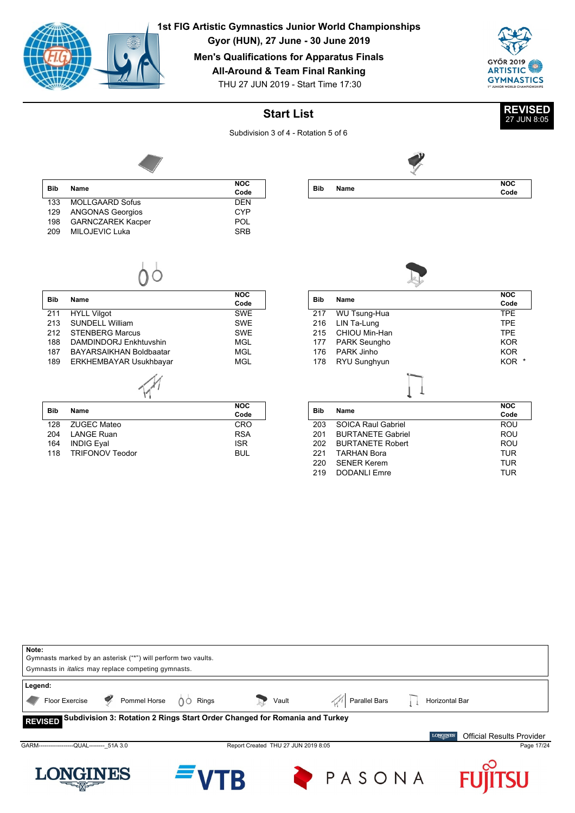

**Gyor (HUN), 27 June - 30 June 2019**

**Men's Qualifications for Apparatus Finals**

**All-Around & Team Final Ranking**

THU 27 JUN 2019 - Start Time 17:30



#### **Start List** Subdivision 3 of 4 - Rotation 5 of 6 **REVISED** 27 JUN 8:05 **Bib Name NOC Code** 133 MOLLGAARD Sofus DEN 129 ANGONAS Georgios CYP 198 GARNCZAREK Kacper POL<br>209 MII OJEVIC Luka MILOJEVIC Luka **Bib Name NOC Code Bib Name NOC Code** 211 HYLL Vilgot SWE<br>
213 SUNDELL William SWE SUNDELL William 212 STENBERG Marcus SWE DAMDINDORJ Enkhtuvshin **Bib Name NOC Code** 217 WU Tsung-Hua TPE 216 LIN Ta-Lung **TPE** 215 CHIOU Min-Han TPE

| 189 | ERKHEMBAYAR Usukhbayar | MGL |
|-----|------------------------|-----|
|     |                        |     |

187 BAYARSAIKHAN Boldbaatar MGL

| <b>Bib</b> | Name                   | <b>NOC</b><br>Code |
|------------|------------------------|--------------------|
| 128        | <b>ZUGEC Mateo</b>     | CRO                |
| 204        | I ANGE Ruan            | <b>RSA</b>         |
| 164        | <b>INDIG Eyal</b>      | <b>ISR</b>         |
| 118        | <b>TRIFONOV Teodor</b> | <b>BUL</b>         |

| 217        | WU Tsung-Hua              | <b>TPE</b>      |
|------------|---------------------------|-----------------|
| 216        | LIN Ta-Lung               | <b>TPE</b>      |
| 215        | CHIOU Min-Han             | <b>TPE</b>      |
| 177        | <b>PARK Seungho</b>       | <b>KOR</b>      |
| 176        | PARK Jinho                | <b>KOR</b>      |
| 178        | RYU Sunghyun              | <b>KOR</b><br>* |
|            |                           |                 |
| <b>Bib</b> | Name                      | NOC             |
|            |                           | Code            |
| 203        | <b>SOICA Raul Gabriel</b> | ROU             |
| 201        | <b>BURTANETE Gabriel</b>  | ROU             |
| 202        | <b>BURTANETE Robert</b>   | ROU             |
| 221        | <b>TARHAN Bora</b>        | TUR             |
| 220        | <b>SENER Kerem</b>        | TUR             |

219 DODANLI Emre TUR

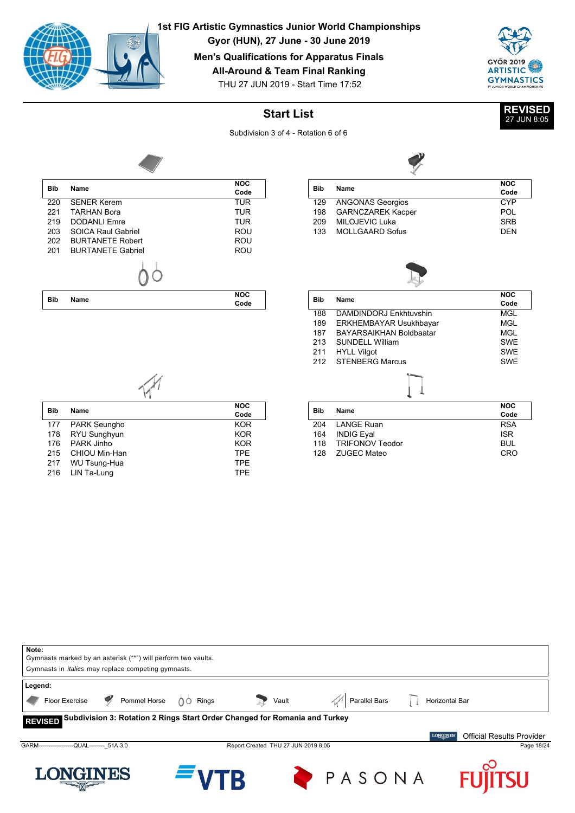

**Gyor (HUN), 27 June - 30 June 2019**

**Men's Qualifications for Apparatus Finals**

**All-Around & Team Final Ranking**

THU 27 JUN 2019 - Start Time 17:52



### **Start List**

Subdivision 3 of 4 - Rotation 6 of 6





|     |                          | <b>NOC</b> |
|-----|--------------------------|------------|
| Bib | Name                     | Code       |
| 129 | <b>ANGONAS Georgios</b>  | CYP        |
| 198 | <b>GARNCZAREK Kacper</b> | POL        |
| 209 | MILOJEVIC Luka           | <b>SRB</b> |
| 133 | <b>MOLLGAARD Sofus</b>   | <b>DFN</b> |
|     |                          |            |



| Bib        | Name                          | <b>NOC</b><br>Code |
|------------|-------------------------------|--------------------|
| 188        | DAMDINDORJ Enkhtuvshin        | <b>MGL</b>         |
| 189        | <b>ERKHEMBAYAR Usukhbayar</b> | MGL                |
| 187        | BAYARSAIKHAN Boldbaatar       | MGL                |
| 213        | <b>SUNDELL William</b>        | <b>SWE</b>         |
| 211        | <b>HYLL Vilgot</b>            | <b>SWE</b>         |
| 212        | <b>STENBERG Marcus</b>        | <b>SWE</b>         |
|            |                               |                    |
| <b>Bib</b> | Name                          | <b>NOC</b>         |
|            |                               | Code               |
| 204        | <b>LANGE Ruan</b>             | <b>RSA</b>         |
| 164        | <b>INDIG Eval</b>             | ISR                |

118 TRIFONOV Teodor BUL

ZUGEC Mateo

| Bib | Name                | <b>NOC</b> |
|-----|---------------------|------------|
|     |                     | Code       |
| 177 | <b>PARK Seungho</b> | <b>KOR</b> |
| 178 | RYU Sunghyun        | <b>KOR</b> |
| 176 | PARK Jinho          | <b>KOR</b> |
| 215 | CHIOU Min-Han       | <b>TPE</b> |
| 217 | <b>WU Tsung-Hua</b> | <b>TPE</b> |

216 LIN Ta-Lung TPE

| Note:<br>Gymnasts marked by an asterisk ("*") will perform two vaults.                       |                            |                                     |               |                 |                                  |
|----------------------------------------------------------------------------------------------|----------------------------|-------------------------------------|---------------|-----------------|----------------------------------|
| Gymnasts in <i>italics</i> may replace competing gymnasts.                                   |                            |                                     |               |                 |                                  |
| Legend:                                                                                      |                            |                                     |               |                 |                                  |
| Pommel Horse<br>Floor Exercise                                                               | $\bigcap$ $\bigcirc$ Rings | Vault                               | Parallel Bars | Horizontal Bar  |                                  |
| Subdivision 3: Rotation 2 Rings Start Order Changed for Romania and Turkey<br><b>REVISED</b> |                            |                                     |               |                 |                                  |
|                                                                                              |                            |                                     |               | <b>LONGINES</b> | <b>Official Results Provider</b> |
| GARM--------------------QUAL-------- 51A 3.0                                                 |                            | Report Created THU 27 JUN 2019 8:05 |               |                 | Page 18/24                       |
| <b>LONGINES</b><br>三大凶亡                                                                      | = VTR                      |                                     | PASONA        |                 | <b>FUIITSU</b>                   |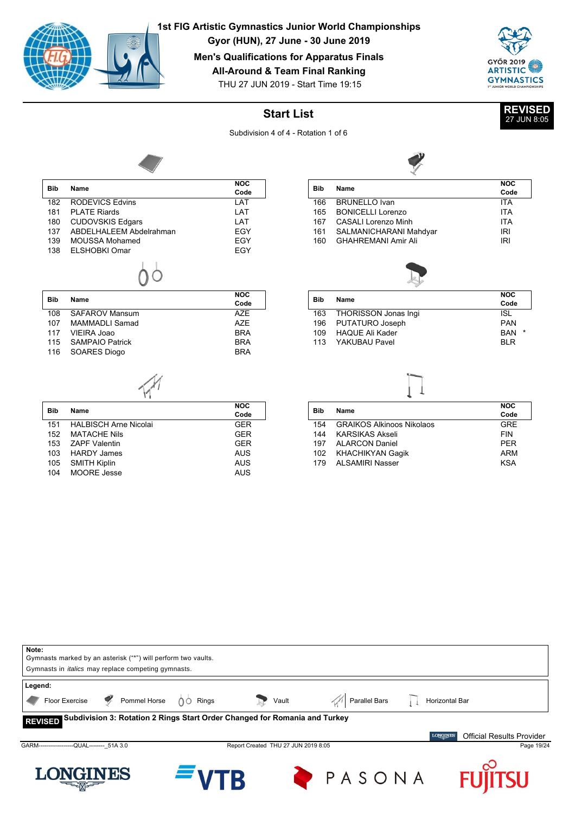

**Gyor (HUN), 27 June - 30 June 2019**

### **Men's Qualifications for Apparatus Finals**

**All-Around & Team Final Ranking**

THU 27 JUN 2019 - Start Time 19:15



### **Start List**







|     |                       | <b>NOC</b> |
|-----|-----------------------|------------|
| Bib | Name                  | Code       |
| 108 | <b>SAFAROV Mansum</b> | <b>AZE</b> |
| 107 | MAMMADLI Samad        | <b>AZE</b> |
| 117 | VIEIRA Joao           | <b>BRA</b> |
| 115 | SAMPAIO Patrick       | <b>BRA</b> |
| 116 | SOARES Diogo          | <b>BRA</b> |

| 1             |  |
|---------------|--|
| $\mathcal{L}$ |  |

|            |                              | <b>NOC</b> |
|------------|------------------------------|------------|
| <b>Bib</b> | Name                         | Code       |
| 151        | <b>HALBISCH Arne Nicolai</b> | <b>GER</b> |
| 152        | <b>MATACHE Nils</b>          | <b>GER</b> |
| 153        | <b>ZAPF Valentin</b>         | <b>GER</b> |
| 103        | <b>HARDY James</b>           | AUS        |
| 105        | <b>SMITH Kiplin</b>          | AUS        |
| 104        | MOORE Jesse                  | AUS        |

|            |                            | <b>NOC</b> |
|------------|----------------------------|------------|
| <b>Bib</b> | Name                       | Code       |
| 166        | <b>BRUNELLO Ivan</b>       | <b>ITA</b> |
| 165        | <b>BONICELLI Lorenzo</b>   | <b>ITA</b> |
| 167        | CASALLI orenzo Minh        | <b>ITA</b> |
| 161        | SALMANICHARANI Mahdyar     | IRI        |
| 160        | <b>GHAHRFMANI Amir Ali</b> | IRI        |



| Bib | Name                   | <b>NOC</b>            |  |
|-----|------------------------|-----------------------|--|
|     |                        | Code                  |  |
| 163 | THORISSON Jonas Ingi   | ISL                   |  |
| 196 | PUTATURO Joseph        | <b>PAN</b>            |  |
| 109 | <b>HAQUE Ali Kader</b> | $\star$<br><b>BAN</b> |  |
| 113 | YAKUBAU Pavel          | <b>BIR</b>            |  |
|     |                        |                       |  |



| Bib | Name                             | <b>NOC</b> |
|-----|----------------------------------|------------|
|     |                                  | Code       |
| 154 | <b>GRAIKOS Alkinoos Nikolaos</b> | <b>GRE</b> |
| 144 | <b>KARSIKAS Akseli</b>           | <b>FIN</b> |
| 197 | <b>ALARCON Daniel</b>            | <b>PFR</b> |
| 102 | <b>KHACHIKYAN Gagik</b>          | <b>ARM</b> |
| 179 | <b>ALSAMIRI Nasser</b>           | <b>KSA</b> |

| Note:<br>Gymnasts marked by an asterisk ("*") will perform two vaults.<br>Gymnasts in <i>italics</i> may replace competing gymnasts. |                             |                                     |                        |                 |                                  |  |
|--------------------------------------------------------------------------------------------------------------------------------------|-----------------------------|-------------------------------------|------------------------|-----------------|----------------------------------|--|
| Legend:<br>Pommel Horse<br>Floor Exercise                                                                                            | $\bigcirc$ $\bigcirc$ Rings | Vault                               | <b>M</b> Parallel Bars | Horizontal Bar  |                                  |  |
| REVISED Subdivision 3: Rotation 2 Rings Start Order Changed for Romania and Turkey                                                   |                             |                                     |                        | <b>LONGINES</b> | <b>Official Results Provider</b> |  |
| GARM--------------------QUAL-------- 51A 3.0                                                                                         |                             | Report Created THU 27 JUN 2019 8:05 |                        |                 | Page 19/24                       |  |
| <b>LONGINES</b><br>두면도                                                                                                               | <b>VTR</b>                  |                                     | PASONA                 |                 | <b>FUJITSU</b>                   |  |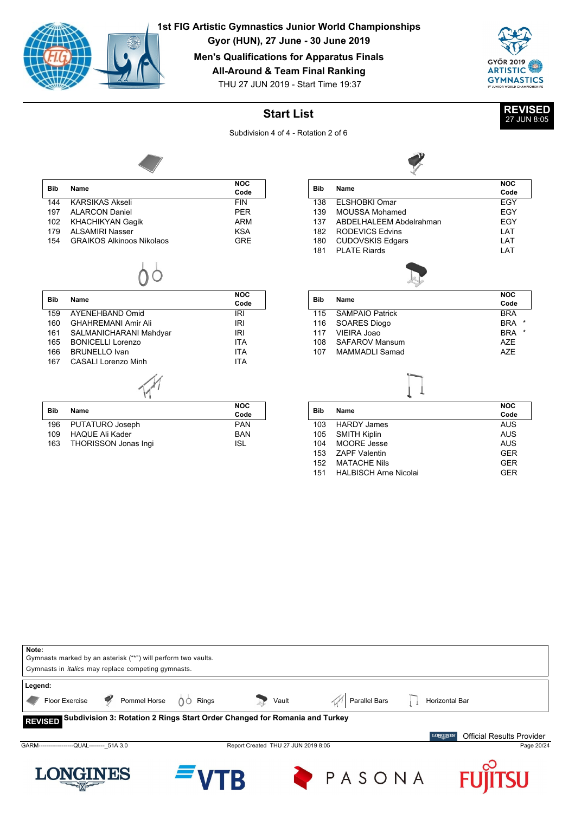

**Gyor (HUN), 27 June - 30 June 2019**

**Men's Qualifications for Apparatus Finals**

**All-Around & Team Final Ranking**

THU 27 JUN 2019 - Start Time 19:37



## **Start List**

Subdivision 4 of 4 - Rotation 2 of 6





| Bib | Name                 | <b>NOC</b> |
|-----|----------------------|------------|
|     |                      | Code       |
| 196 | PUTATURO Joseph      | <b>PAN</b> |
| 109 | HAQUE Ali Kader      | <b>BAN</b> |
| 163 | THORISSON Jonas Ingi | ISL        |
|     |                      |            |

| <b>Bib</b> | <b>Name</b>              | <b>NOC</b> |
|------------|--------------------------|------------|
|            |                          | Code       |
| 138        | ELSHOBKI Omar            | EGY        |
| 139        | <b>MOUSSA Mohamed</b>    | EGY        |
| 137        | ABDEL HALFEM Abdelrahman | EGY        |
| 182        | <b>RODEVICS Edvins</b>   | I AT       |
| 180        | <b>CUDOVSKIS Edgars</b>  | I AT       |
| 181        | PI ATF Riards            | I AT       |

 $\mathbb{Z}$ 

|     |                        | <b>NOC</b>            |
|-----|------------------------|-----------------------|
| Bib | <b>Name</b>            | Code                  |
| 115 | <b>SAMPAIO Patrick</b> | <b>BRA</b>            |
| 116 | SOARES Diogo           | $\star$<br><b>BRA</b> |
| 117 | VIFIRA Joao            | $\star$<br><b>BRA</b> |
| 108 | SAFAROV Mansum         | A7F                   |
| 107 | MAMMADI I Samad        | A7F                   |
|     |                        |                       |

|            |                              | <b>NOC</b> |
|------------|------------------------------|------------|
| <b>Bib</b> | Name                         | Code       |
| 103        | <b>HARDY James</b>           | <b>AUS</b> |
| 105        | <b>SMITH Kiplin</b>          | <b>AUS</b> |
| 104        | MOORE Jesse                  | <b>AUS</b> |
| 153        | <b>ZAPF Valentin</b>         | <b>GER</b> |
| 152        | <b>MATACHE Nils</b>          | <b>GER</b> |
| 151        | <b>HALBISCH Arne Nicolai</b> | GFR        |
|            |                              |            |

| Note:<br>Gymnasts marked by an asterisk ("*") will perform two vaults.<br>Gymnasts in <i>italics</i> may replace competing gymnasts. |              |                            |                                     |                        |                 |                                  |
|--------------------------------------------------------------------------------------------------------------------------------------|--------------|----------------------------|-------------------------------------|------------------------|-----------------|----------------------------------|
| Legend:                                                                                                                              |              |                            |                                     |                        |                 |                                  |
| Floor Exercise<br>v.                                                                                                                 | Pommel Horse | $\bigcap$ $\bigcirc$ Rings | Vault                               | <b>A</b> Parallel Bars | Horizontal Bar  |                                  |
| REVISED Subdivision 3: Rotation 2 Rings Start Order Changed for Romania and Turkey                                                   |              |                            |                                     |                        |                 |                                  |
|                                                                                                                                      |              |                            |                                     |                        | <b>LONGINES</b> | <b>Official Results Provider</b> |
| GARM--------------------QUAL-------- 51A 3.0                                                                                         |              |                            | Report Created THU 27 JUN 2019 8:05 |                        |                 | Page 20/24                       |
| <b>LONGINES</b><br><b>CARPER</b>                                                                                                     |              | = VTR                      |                                     | PASONA                 |                 | <b>FUJITSU</b>                   |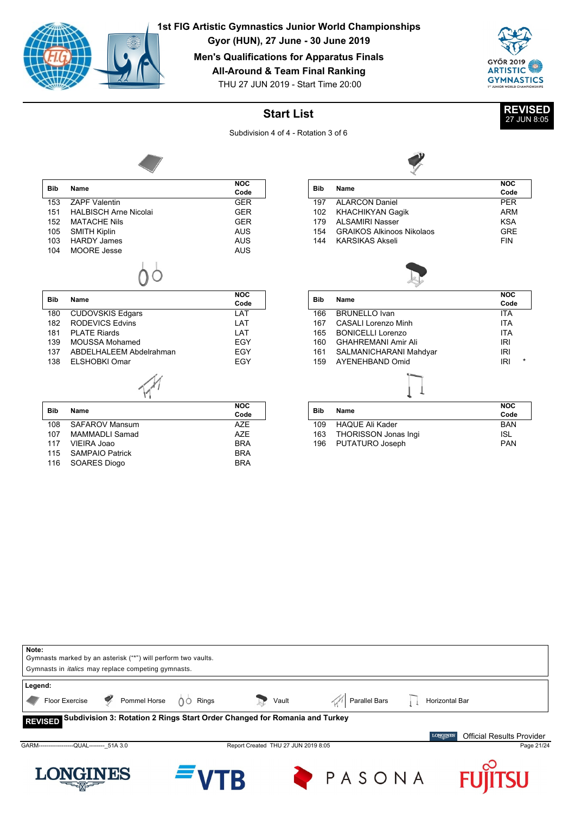

**Gyor (HUN), 27 June - 30 June 2019**

### **Men's Qualifications for Apparatus Finals**

**All-Around & Team Final Ranking**

THU 27 JUN 2019 - Start Time 20:00



### **Start List**







| <b>Bib</b> |                       | <b>NOC</b> |
|------------|-----------------------|------------|
|            | Name                  | Code       |
| 108        | <b>SAFAROV Mansum</b> | A7F        |
| 107        | MAMMADI I Samad       | A7F        |
| 117        | VIEIRA Joao           | <b>BRA</b> |
| 115        | SAMPAIO Patrick       | <b>BRA</b> |
| 116        | SOARES Diogo          | <b>BRA</b> |
|            |                       |            |

| <b>Bib</b> |                                  | <b>NOC</b> |
|------------|----------------------------------|------------|
|            | Name                             | Code       |
| 197        | <b>ALARCON Daniel</b>            | <b>PFR</b> |
| 102        | KHACHIKYAN Gaqik                 | <b>ARM</b> |
| 179        | AI SAMIRI Nasser                 | KSA        |
| 154        | <b>GRAIKOS Alkinoos Nikolaos</b> | GRF        |
| 144        | <b>KARSIKAS Akseli</b>           | <b>FIN</b> |
|            |                                  |            |



| Bib | Name                       | NOC        |         |
|-----|----------------------------|------------|---------|
|     |                            | Code       |         |
| 166 | <b>BRUNELLO Ivan</b>       | <b>ITA</b> |         |
| 167 | CASALI Lorenzo Minh        | <b>ITA</b> |         |
| 165 | <b>BONICELLI Lorenzo</b>   | <b>ITA</b> |         |
| 160 | <b>GHAHRFMANI Amir Ali</b> | IRI        |         |
| 161 | SALMANICHARANI Mahdyar     | IRI        |         |
| 159 | AYENEHBAND Omid            | IRI        | $\star$ |
|     |                            |            |         |
| Bib | Name                       | <b>NOC</b> |         |
|     |                            | Code       |         |
| 109 | <b>HAQUE Ali Kader</b>     | <b>BAN</b> |         |

| ---- | .                    |            |
|------|----------------------|------------|
| 163  | THORISSON Jonas Ingi | ISL        |
| 196  | PUTATURO Joseph      | <b>PAN</b> |

| Note:                                        |                                                                                     |                            |                                     |                 |                 |                                  |  |
|----------------------------------------------|-------------------------------------------------------------------------------------|----------------------------|-------------------------------------|-----------------|-----------------|----------------------------------|--|
|                                              | Gymnasts marked by an asterisk ("*") will perform two vaults.                       |                            |                                     |                 |                 |                                  |  |
|                                              | Gymnasts in <i>italics</i> may replace competing gymnasts.                          |                            |                                     |                 |                 |                                  |  |
| Legend:                                      |                                                                                     |                            |                                     |                 |                 |                                  |  |
| Floor Exercise                               | Pommel Horse<br>v                                                                   | $\bigcap$ $\bigcirc$ Rings | Vault                               | M Parallel Bars | Horizontal Bar  |                                  |  |
|                                              | REVISED, Subdivision 3: Rotation 2 Rings Start Order Changed for Romania and Turkey |                            |                                     |                 |                 |                                  |  |
|                                              |                                                                                     |                            |                                     |                 | <b>LONGINES</b> | <b>Official Results Provider</b> |  |
| GARM--------------------QUAL-------- 51A 3.0 |                                                                                     |                            | Report Created THU 27 JUN 2019 8:05 |                 |                 | Page 21/24                       |  |
| <b>LONGINES</b><br>一个心心                      |                                                                                     | <b>VTR</b>                 |                                     | PASONA          |                 | <b>FUJITSU</b>                   |  |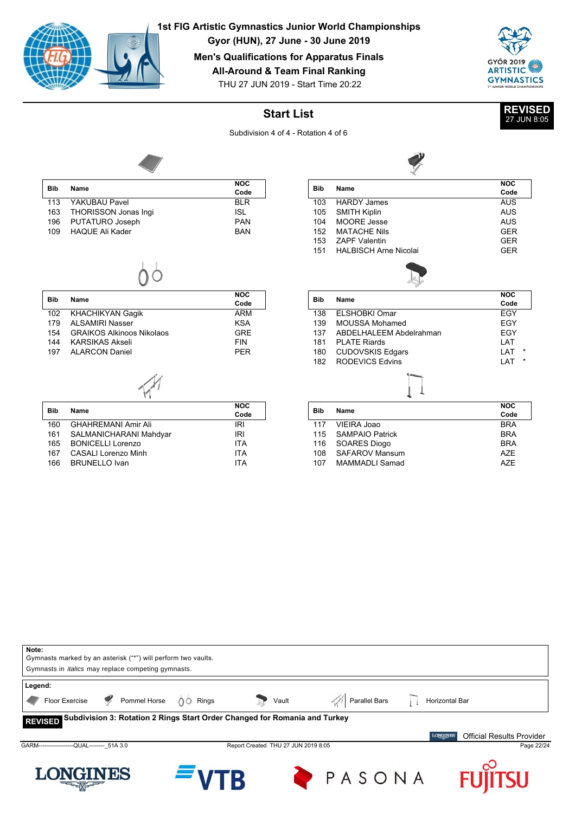

**Gyor (HUN), 27 June - 30 June 2019**

### **Men's Qualifications for Apparatus Finals**

**All-Around & Team Final Ranking**

THU 27 JUN 2019 - Start Time 20:22



### **Start List**

Subdivision 4 of 4 - Rotation 4 of 6



#### **Bib Name NOC Code** 113 YAKUBAU Pavel<br>163 THORISSON Jonas Ingi 1999 - ISL 193 THORISSON Jonas Ingi<br>
163 Thomas Ingineeri ISL PUTATURO Joseph 196 PUTATURO Joseph PAN PAN<br>109 HAQUE Ali Kader PAN BAN HAQUE Ali Kader

|--|--|

| <b>Bib</b> |                                  | NOC        |
|------------|----------------------------------|------------|
|            | Name                             | Code       |
| 102        | KHACHIKYAN Gaqik                 | ARM        |
| 179        | AI SAMIRI Nasser                 | <b>KSA</b> |
| 154        | <b>GRAIKOS Alkinoos Nikolaos</b> | <b>GRE</b> |
| 144        | KARSIKAS Akseli                  | <b>FIN</b> |
| 197        | <b>ALARCON Daniel</b>            | PFR        |
|            |                                  |            |

$$
\widehat{\mathbb{M}}^{\mathcal{U}}
$$

|     |                            | <b>NOC</b> |
|-----|----------------------------|------------|
| Bib | Name                       | Code       |
| 160 | <b>GHAHREMANI Amir Ali</b> | IRI        |
| 161 | SALMANICHARANI Mahdyar     | IRI        |
| 165 | <b>BONICELLI Lorenzo</b>   | <b>ITA</b> |
| 167 | CASALI Lorenzo Minh        | <b>ITA</b> |
| 166 | <b>BRUNELLO Ivan</b>       | <b>ITA</b> |

| Bib | Name                          | <b>NOC</b> |
|-----|-------------------------------|------------|
|     |                               | Code       |
| 103 | <b>HARDY James</b>            | <b>AUS</b> |
| 105 | <b>SMITH Kiplin</b>           | <b>AUS</b> |
| 104 | MOORF Jesse                   | <b>AUS</b> |
| 152 | <b>MATACHE Nils</b>           | <b>GER</b> |
| 153 | <b>ZAPF Valentin</b>          | <b>GER</b> |
| 151 | <b>HAI BISCH Arne Nicolai</b> | <b>GER</b> |
|     |                               |            |

| <b>Bib</b> | Name                    | <b>NOC</b>      |
|------------|-------------------------|-----------------|
|            |                         | Code            |
| 138        | ELSHOBKI Omar           | EGY             |
| 139        | <b>MOUSSA Mohamed</b>   | EGY             |
| 137        | ABDELHALEEM Abdelrahman | EGY             |
| 181        | PI ATF Riards           | LAT             |
| 180        | <b>CUDOVSKIS Edgars</b> | $\star$<br>LAT  |
| 182        | RODEVICS Edvins         | $\star$<br>I AT |
|            |                         |                 |
|            | $\cdots$                | <b>NOC</b>      |

|                       | NUU        |
|-----------------------|------------|
|                       | Code       |
| VIEIRA Joao           | <b>BRA</b> |
| SAMPAIO Patrick       | <b>BRA</b> |
| 116 SOARES Diogo      | <b>BRA</b> |
| SAFAROV Mansum        | A7F        |
| <b>MAMMADLI Samad</b> | A7F        |
|                       | Name       |

| Note:                                       | Gymnasts marked by an asterisk ("*") will perform two vaults.                      |                  |                                     |                        |                 |                                  |
|---------------------------------------------|------------------------------------------------------------------------------------|------------------|-------------------------------------|------------------------|-----------------|----------------------------------|
|                                             | Gymnasts in <i>italics</i> may replace competing gymnasts.                         |                  |                                     |                        |                 |                                  |
| Legend:                                     |                                                                                    |                  |                                     |                        |                 |                                  |
| Floor Exercise                              | Pommel Horse                                                                       | $\bigcirc$ Rings | Vault                               | <b>M</b> Parallel Bars | Horizontal Bar  |                                  |
|                                             | REVISED Subdivision 3: Rotation 2 Rings Start Order Changed for Romania and Turkey |                  |                                     |                        |                 |                                  |
|                                             |                                                                                    |                  |                                     |                        | <b>LONGINES</b> | <b>Official Results Provider</b> |
| GARM-------------------QUAL-------- 51A 3.0 |                                                                                    |                  | Report Created THU 27 JUN 2019 8:05 |                        |                 | Page 22/24                       |
| <b>LONGINES</b><br>一二人出生                    |                                                                                    | = VTR            |                                     | PASONA                 |                 | <b>FUJITSU</b>                   |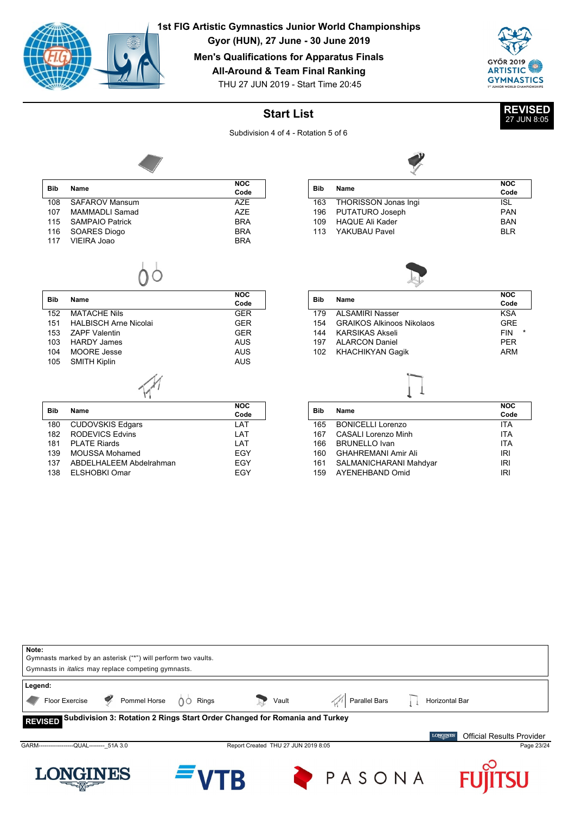

**Gyor (HUN), 27 June - 30 June 2019**

#### **Men's Qualifications for Apparatus Finals**

**All-Around & Team Final Ranking**

THU 27 JUN 2019 - Start Time 20:45



### **Start List**







| 117 | VIEIRA Joao<br>____ | <b>BRA</b> |
|-----|---------------------|------------|
|     |                     |            |

| <b>Bib</b> | Name                          | <b>NOC</b> |
|------------|-------------------------------|------------|
|            |                               | Code       |
| 152        | <b>MATACHE Nils</b>           | <b>GER</b> |
| 151        | <b>HAI BISCH Arne Nicolai</b> | <b>GER</b> |
| 153        | <b>ZAPF Valentin</b>          | <b>GER</b> |
| 103        | HARDY James                   | <b>AUS</b> |
| 104        | <b>MOORE</b> Jesse            | <b>AUS</b> |
| 105        | <b>SMITH Kiplin</b>           | <b>AUS</b> |
|            |                               |            |
| Dih.       | <b>Nomo</b>                   | <b>NOC</b> |

| вю  | name                    | Code       |
|-----|-------------------------|------------|
| 180 | CUDOVSKIS Edgars        | I AT       |
| 182 | <b>RODEVICS Edvins</b>  | I AT       |
| 181 | PLATE Riards            | I AT       |
| 139 | MOUSSA Mohamed          | EGY        |
| 137 | ABDELHALEEM Abdelrahman | <b>FGY</b> |
| 138 | ELSHOBKI Omar           | <b>FGY</b> |
|     |                         |            |

|                          | <b>NOC</b> |
|--------------------------|------------|
|                          | Code       |
| 163 THORISSON Jonas Ingi | ISL.       |
| PUTATURO Joseph          | <b>PAN</b> |
| HAQUE Ali Kader          | <b>BAN</b> |
| YAKUBAU Pavel            | BI R       |
|                          | Name       |



|     |                                  | <b>NOC</b>            |
|-----|----------------------------------|-----------------------|
| Bib | <b>Name</b>                      | Code                  |
| 179 | <b>ALSAMIRI Nasser</b>           | KSA                   |
| 154 | <b>GRAIKOS Alkinoos Nikolaos</b> | GRF                   |
| 144 | <b>KARSIKAS Akseli</b>           | $\star$<br><b>FIN</b> |
| 197 | <b>ALARCON Daniel</b>            | <b>PFR</b>            |
| 102 | KHACHIKYAN Gaqik                 | ARM                   |
|     |                                  |                       |



160 GHAHREMANI Amir Ali 161 SALMANICHARANI Mahdyar IRI 159 AYENEHBAND Omid